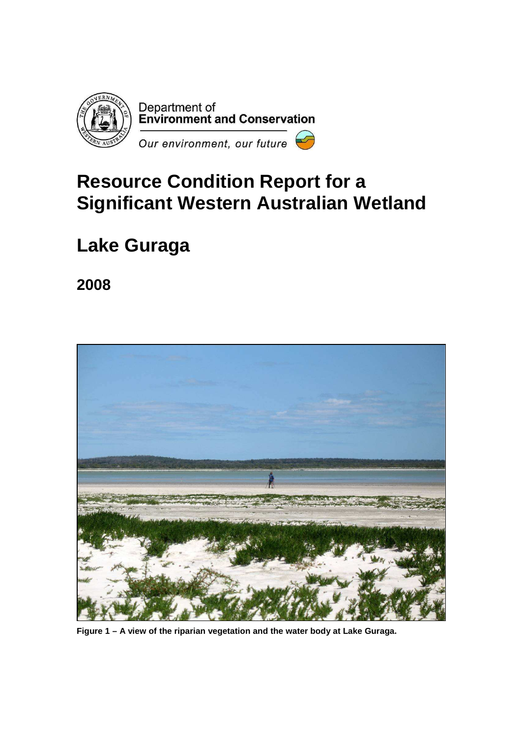

# **Resource Condition Report for a Significant Western Australian Wetland**

# **Lake Guraga**

**2008** 



**Figure 1 – A view of the riparian vegetation and the water body at Lake Guraga.**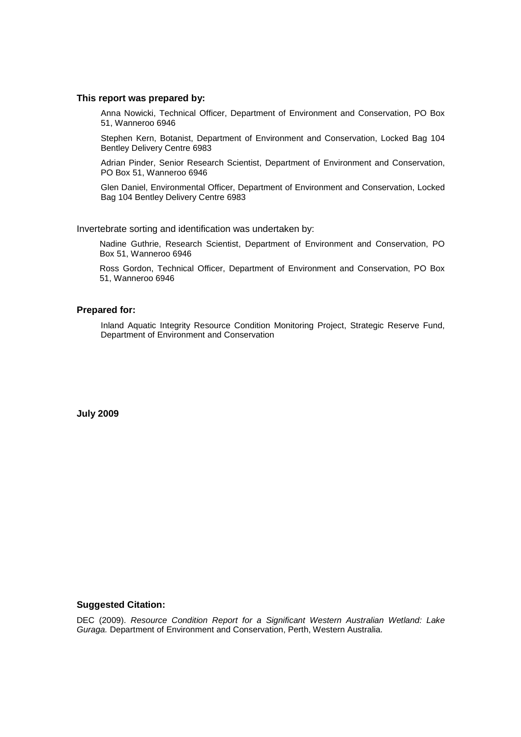#### **This report was prepared by:**

Anna Nowicki, Technical Officer, Department of Environment and Conservation, PO Box 51, Wanneroo 6946

Stephen Kern, Botanist, Department of Environment and Conservation, Locked Bag 104 Bentley Delivery Centre 6983

Adrian Pinder, Senior Research Scientist, Department of Environment and Conservation, PO Box 51, Wanneroo 6946

Glen Daniel, Environmental Officer, Department of Environment and Conservation, Locked Bag 104 Bentley Delivery Centre 6983

Invertebrate sorting and identification was undertaken by:

Nadine Guthrie, Research Scientist, Department of Environment and Conservation, PO Box 51, Wanneroo 6946

Ross Gordon, Technical Officer, Department of Environment and Conservation, PO Box 51, Wanneroo 6946

#### **Prepared for:**

Inland Aquatic Integrity Resource Condition Monitoring Project, Strategic Reserve Fund, Department of Environment and Conservation

**July 2009** 

#### **Suggested Citation:**

DEC (2009). Resource Condition Report for a Significant Western Australian Wetland: Lake Guraga. Department of Environment and Conservation, Perth, Western Australia.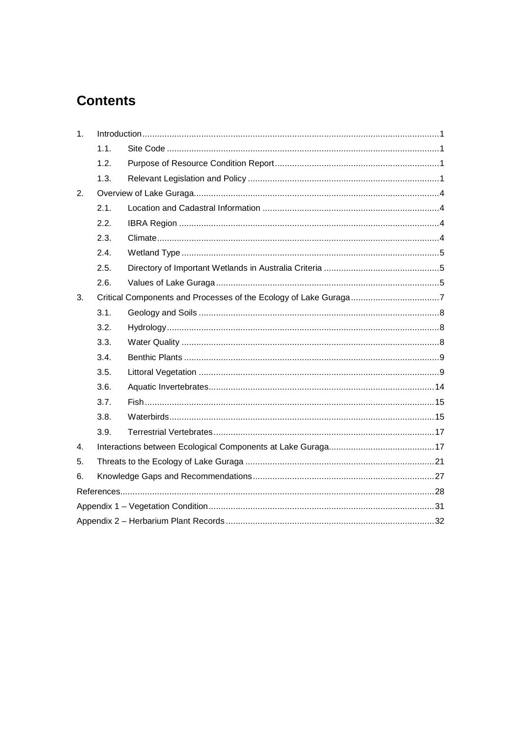## **Contents**

| 1.               |      |  |  |  |  |  |
|------------------|------|--|--|--|--|--|
|                  | 1.1. |  |  |  |  |  |
|                  | 1.2. |  |  |  |  |  |
|                  | 1.3. |  |  |  |  |  |
| 2.               |      |  |  |  |  |  |
|                  | 2.1. |  |  |  |  |  |
|                  | 2.2. |  |  |  |  |  |
|                  | 2.3. |  |  |  |  |  |
|                  | 2.4. |  |  |  |  |  |
|                  | 2.5. |  |  |  |  |  |
|                  | 2.6. |  |  |  |  |  |
| 3.               |      |  |  |  |  |  |
|                  | 3.1. |  |  |  |  |  |
|                  | 3.2. |  |  |  |  |  |
|                  | 3.3. |  |  |  |  |  |
|                  | 3.4. |  |  |  |  |  |
|                  | 3.5. |  |  |  |  |  |
|                  | 3.6. |  |  |  |  |  |
|                  | 3.7. |  |  |  |  |  |
|                  | 3.8. |  |  |  |  |  |
|                  | 3.9. |  |  |  |  |  |
| $\overline{4}$ . |      |  |  |  |  |  |
| 5.               |      |  |  |  |  |  |
| 6.               |      |  |  |  |  |  |
|                  |      |  |  |  |  |  |
|                  |      |  |  |  |  |  |
|                  |      |  |  |  |  |  |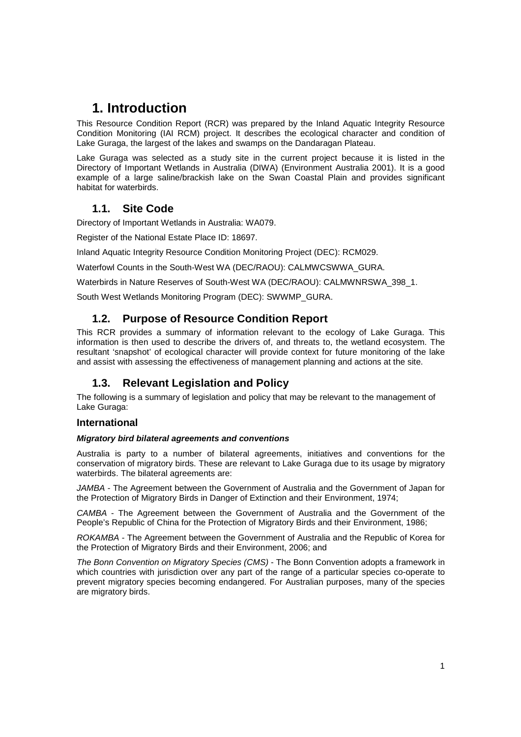## **1. Introduction**

This Resource Condition Report (RCR) was prepared by the Inland Aquatic Integrity Resource Condition Monitoring (IAI RCM) project. It describes the ecological character and condition of Lake Guraga, the largest of the lakes and swamps on the Dandaragan Plateau.

Lake Guraga was selected as a study site in the current project because it is listed in the Directory of Important Wetlands in Australia (DIWA) (Environment Australia 2001). It is a good example of a large saline/brackish lake on the Swan Coastal Plain and provides significant habitat for waterbirds.

## **1.1. Site Code**

Directory of Important Wetlands in Australia: WA079.

Register of the National Estate Place ID: 18697.

Inland Aquatic Integrity Resource Condition Monitoring Project (DEC): RCM029.

Waterfowl Counts in the South-West WA (DEC/RAOU): CALMWCSWWA\_GURA.

Waterbirds in Nature Reserves of South-West WA (DEC/RAOU): CALMWNRSWA\_398\_1.

South West Wetlands Monitoring Program (DEC): SWWMP\_GURA.

## **1.2. Purpose of Resource Condition Report**

This RCR provides a summary of information relevant to the ecology of Lake Guraga. This information is then used to describe the drivers of, and threats to, the wetland ecosystem. The resultant 'snapshot' of ecological character will provide context for future monitoring of the lake and assist with assessing the effectiveness of management planning and actions at the site.

## **1.3. Relevant Legislation and Policy**

The following is a summary of legislation and policy that may be relevant to the management of Lake Guraga:

## **International**

### **Migratory bird bilateral agreements and conventions**

Australia is party to a number of bilateral agreements, initiatives and conventions for the conservation of migratory birds. These are relevant to Lake Guraga due to its usage by migratory waterbirds. The bilateral agreements are:

JAMBA - The Agreement between the Government of Australia and the Government of Japan for the Protection of Migratory Birds in Danger of Extinction and their Environment, 1974;

CAMBA - The Agreement between the Government of Australia and the Government of the People's Republic of China for the Protection of Migratory Birds and their Environment, 1986;

ROKAMBA - The Agreement between the Government of Australia and the Republic of Korea for the Protection of Migratory Birds and their Environment, 2006; and

The Bonn Convention on Migratory Species (CMS) - The Bonn Convention adopts a framework in which countries with jurisdiction over any part of the range of a particular species co-operate to prevent migratory species becoming endangered. For Australian purposes, many of the species are migratory birds.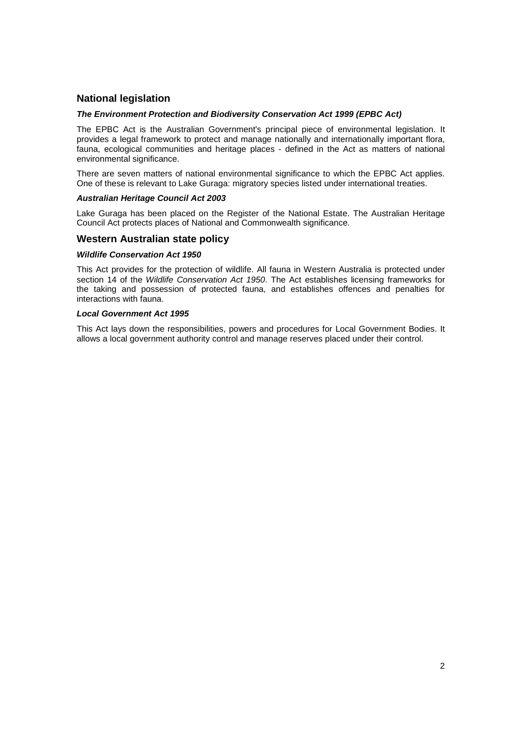### **National legislation**

#### **The Environment Protection and Biodiversity Conservation Act 1999 (EPBC Act)**

The EPBC Act is the Australian Government's principal piece of environmental legislation. It provides a legal framework to protect and manage nationally and internationally important flora, fauna, ecological communities and heritage places - defined in the Act as matters of national environmental significance.

There are seven matters of national environmental significance to which the EPBC Act applies. One of these is relevant to Lake Guraga: migratory species listed under international treaties.

#### **Australian Heritage Council Act 2003**

Lake Guraga has been placed on the Register of the National Estate. The Australian Heritage Council Act protects places of National and Commonwealth significance.

#### **Western Australian state policy**

#### **Wildlife Conservation Act 1950**

This Act provides for the protection of wildlife. All fauna in Western Australia is protected under section 14 of the Wildlife Conservation Act 1950. The Act establishes licensing frameworks for the taking and possession of protected fauna, and establishes offences and penalties for interactions with fauna.

#### **Local Government Act 1995**

This Act lays down the responsibilities, powers and procedures for Local Government Bodies. It allows a local government authority control and manage reserves placed under their control.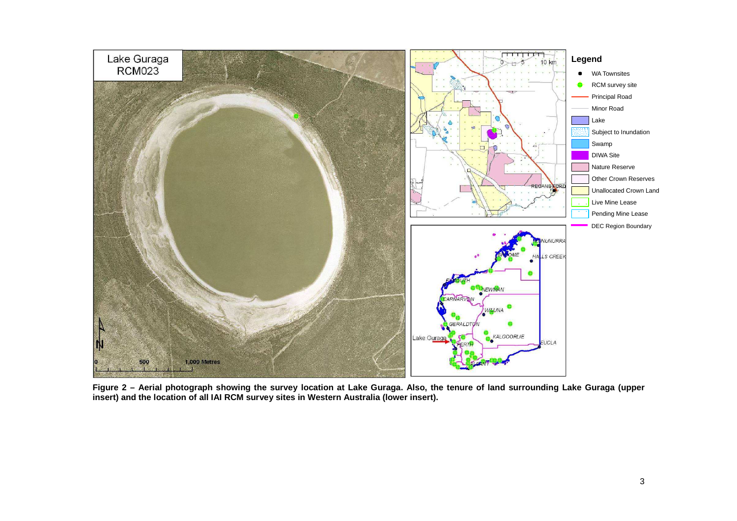

**Figure 2 – Aerial photograph showing the survey location at Lake Guraga. Also, the tenure of land surrounding Lake Guraga (upper insert) and the location of all IAI RCM survey sites in Western Australia (lower insert).**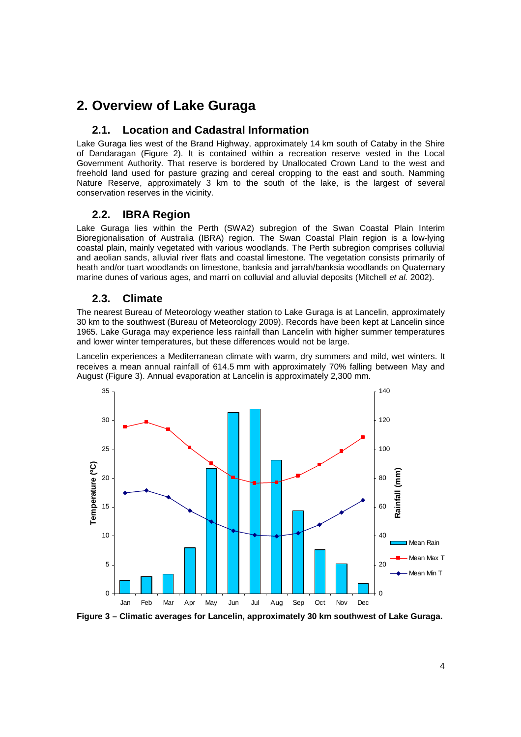## **2. Overview of Lake Guraga**

## **2.1. Location and Cadastral Information**

Lake Guraga lies west of the Brand Highway, approximately 14 km south of Cataby in the Shire of Dandaragan (Figure 2). It is contained within a recreation reserve vested in the Local Government Authority. That reserve is bordered by Unallocated Crown Land to the west and freehold land used for pasture grazing and cereal cropping to the east and south. Namming Nature Reserve, approximately 3 km to the south of the lake, is the largest of several conservation reserves in the vicinity.

## **2.2. IBRA Region**

Lake Guraga lies within the Perth (SWA2) subregion of the Swan Coastal Plain Interim Bioregionalisation of Australia (IBRA) region. The Swan Coastal Plain region is a low-lying coastal plain, mainly vegetated with various woodlands. The Perth subregion comprises colluvial and aeolian sands, alluvial river flats and coastal limestone. The vegetation consists primarily of heath and/or tuart woodlands on limestone, banksia and jarrah/banksia woodlands on Quaternary marine dunes of various ages, and marri on colluvial and alluvial deposits (Mitchell et al. 2002).

## **2.3. Climate**

The nearest Bureau of Meteorology weather station to Lake Guraga is at Lancelin, approximately 30 km to the southwest (Bureau of Meteorology 2009). Records have been kept at Lancelin since 1965. Lake Guraga may experience less rainfall than Lancelin with higher summer temperatures and lower winter temperatures, but these differences would not be large.

Lancelin experiences a Mediterranean climate with warm, dry summers and mild, wet winters. It receives a mean annual rainfall of 614.5 mm with approximately 70% falling between May and August (Figure 3). Annual evaporation at Lancelin is approximately 2,300 mm.



**Figure 3 – Climatic averages for Lancelin, approximately 30 km southwest of Lake Guraga.**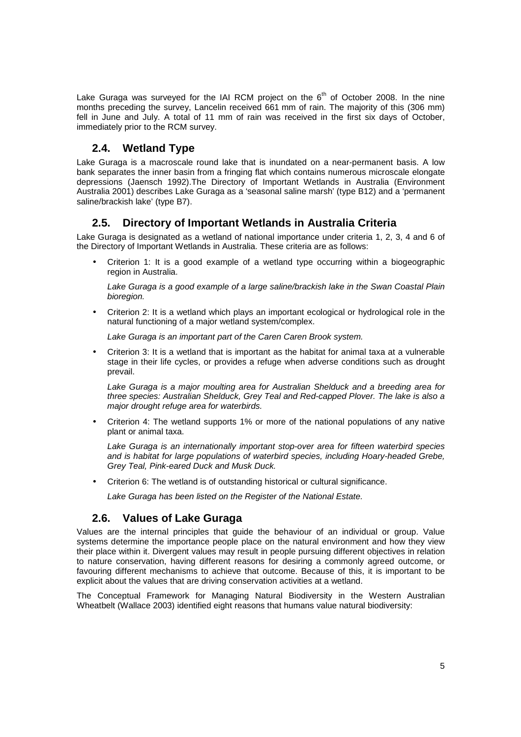Lake Guraga was surveyed for the IAI RCM project on the  $6<sup>th</sup>$  of October 2008. In the nine months preceding the survey, Lancelin received 661 mm of rain. The majority of this (306 mm) fell in June and July. A total of 11 mm of rain was received in the first six days of October, immediately prior to the RCM survey.

## **2.4. Wetland Type**

Lake Guraga is a macroscale round lake that is inundated on a near-permanent basis. A low bank separates the inner basin from a fringing flat which contains numerous microscale elongate depressions (Jaensch 1992).The Directory of Important Wetlands in Australia (Environment Australia 2001) describes Lake Guraga as a 'seasonal saline marsh' (type B12) and a 'permanent saline/brackish lake' (type B7).

## **2.5. Directory of Important Wetlands in Australia Criteria**

Lake Guraga is designated as a wetland of national importance under criteria 1, 2, 3, 4 and 6 of the Directory of Important Wetlands in Australia. These criteria are as follows:

• Criterion 1: It is a good example of a wetland type occurring within a biogeographic region in Australia.

Lake Guraga is a good example of a large saline/brackish lake in the Swan Coastal Plain bioregion.

• Criterion 2: It is a wetland which plays an important ecological or hydrological role in the natural functioning of a major wetland system/complex.

Lake Guraga is an important part of the Caren Caren Brook system.

• Criterion 3: It is a wetland that is important as the habitat for animal taxa at a vulnerable stage in their life cycles, or provides a refuge when adverse conditions such as drought prevail.

Lake Guraga is a major moulting area for Australian Shelduck and a breeding area for three species: Australian Shelduck, Grey Teal and Red-capped Plover. The lake is also a major drought refuge area for waterbirds.

• Criterion 4: The wetland supports 1% or more of the national populations of any native plant or animal taxa.

Lake Guraga is an internationally important stop-over area for fifteen waterbird species and is habitat for large populations of waterbird species, including Hoary-headed Grebe, Grey Teal, Pink-eared Duck and Musk Duck.

• Criterion 6: The wetland is of outstanding historical or cultural significance.

Lake Guraga has been listed on the Register of the National Estate.

## **2.6. Values of Lake Guraga**

Values are the internal principles that guide the behaviour of an individual or group. Value systems determine the importance people place on the natural environment and how they view their place within it. Divergent values may result in people pursuing different objectives in relation to nature conservation, having different reasons for desiring a commonly agreed outcome, or favouring different mechanisms to achieve that outcome. Because of this, it is important to be explicit about the values that are driving conservation activities at a wetland.

The Conceptual Framework for Managing Natural Biodiversity in the Western Australian Wheatbelt (Wallace 2003) identified eight reasons that humans value natural biodiversity: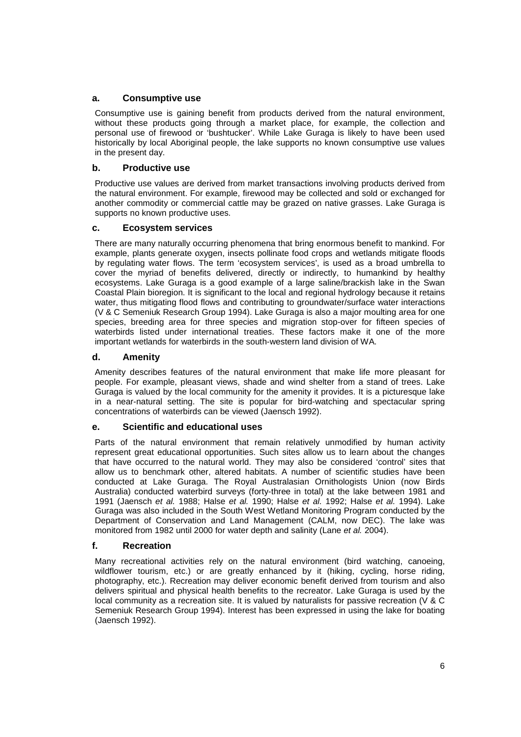### **a. Consumptive use**

Consumptive use is gaining benefit from products derived from the natural environment, without these products going through a market place, for example, the collection and personal use of firewood or 'bushtucker'. While Lake Guraga is likely to have been used historically by local Aboriginal people, the lake supports no known consumptive use values in the present day.

### **b. Productive use**

Productive use values are derived from market transactions involving products derived from the natural environment. For example, firewood may be collected and sold or exchanged for another commodity or commercial cattle may be grazed on native grasses. Lake Guraga is supports no known productive uses.

### **c. Ecosystem services**

There are many naturally occurring phenomena that bring enormous benefit to mankind. For example, plants generate oxygen, insects pollinate food crops and wetlands mitigate floods by regulating water flows. The term 'ecosystem services', is used as a broad umbrella to cover the myriad of benefits delivered, directly or indirectly, to humankind by healthy ecosystems. Lake Guraga is a good example of a large saline/brackish lake in the Swan Coastal Plain bioregion. It is significant to the local and regional hydrology because it retains water, thus mitigating flood flows and contributing to groundwater/surface water interactions (V & C Semeniuk Research Group 1994). Lake Guraga is also a major moulting area for one species, breeding area for three species and migration stop-over for fifteen species of waterbirds listed under international treaties. These factors make it one of the more important wetlands for waterbirds in the south-western land division of WA.

### **d. Amenity**

Amenity describes features of the natural environment that make life more pleasant for people. For example, pleasant views, shade and wind shelter from a stand of trees. Lake Guraga is valued by the local community for the amenity it provides. It is a picturesque lake in a near-natural setting. The site is popular for bird-watching and spectacular spring concentrations of waterbirds can be viewed (Jaensch 1992).

### **e. Scientific and educational uses**

Parts of the natural environment that remain relatively unmodified by human activity represent great educational opportunities. Such sites allow us to learn about the changes that have occurred to the natural world. They may also be considered 'control' sites that allow us to benchmark other, altered habitats. A number of scientific studies have been conducted at Lake Guraga. The Royal Australasian Ornithologists Union (now Birds Australia) conducted waterbird surveys (forty-three in total) at the lake between 1981 and 1991 (Jaensch et al. 1988; Halse et al. 1990; Halse et al. 1992; Halse et al. 1994). Lake Guraga was also included in the South West Wetland Monitoring Program conducted by the Department of Conservation and Land Management (CALM, now DEC). The lake was monitored from 1982 until 2000 for water depth and salinity (Lane et al. 2004).

### **f. Recreation**

Many recreational activities rely on the natural environment (bird watching, canoeing, wildflower tourism, etc.) or are greatly enhanced by it (hiking, cycling, horse riding, photography, etc.). Recreation may deliver economic benefit derived from tourism and also delivers spiritual and physical health benefits to the recreator. Lake Guraga is used by the local community as a recreation site. It is valued by naturalists for passive recreation (V & C Semeniuk Research Group 1994). Interest has been expressed in using the lake for boating (Jaensch 1992).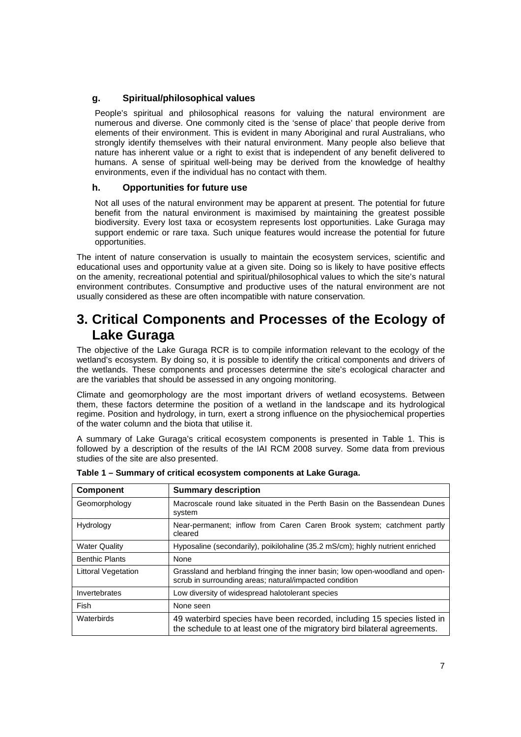### **g. Spiritual/philosophical values**

People's spiritual and philosophical reasons for valuing the natural environment are numerous and diverse. One commonly cited is the 'sense of place' that people derive from elements of their environment. This is evident in many Aboriginal and rural Australians, who strongly identify themselves with their natural environment. Many people also believe that nature has inherent value or a right to exist that is independent of any benefit delivered to humans. A sense of spiritual well-being may be derived from the knowledge of healthy environments, even if the individual has no contact with them.

### **h. Opportunities for future use**

Not all uses of the natural environment may be apparent at present. The potential for future benefit from the natural environment is maximised by maintaining the greatest possible biodiversity. Every lost taxa or ecosystem represents lost opportunities. Lake Guraga may support endemic or rare taxa. Such unique features would increase the potential for future opportunities.

The intent of nature conservation is usually to maintain the ecosystem services, scientific and educational uses and opportunity value at a given site. Doing so is likely to have positive effects on the amenity, recreational potential and spiritual/philosophical values to which the site's natural environment contributes. Consumptive and productive uses of the natural environment are not usually considered as these are often incompatible with nature conservation.

## **3. Critical Components and Processes of the Ecology of Lake Guraga**

The objective of the Lake Guraga RCR is to compile information relevant to the ecology of the wetland's ecosystem. By doing so, it is possible to identify the critical components and drivers of the wetlands. These components and processes determine the site's ecological character and are the variables that should be assessed in any ongoing monitoring.

Climate and geomorphology are the most important drivers of wetland ecosystems. Between them, these factors determine the position of a wetland in the landscape and its hydrological regime. Position and hydrology, in turn, exert a strong influence on the physiochemical properties of the water column and the biota that utilise it.

A summary of Lake Guraga's critical ecosystem components is presented in Table 1. This is followed by a description of the results of the IAI RCM 2008 survey. Some data from previous studies of the site are also presented.

| <b>Component</b>      | <b>Summary description</b>                                                                                                                          |
|-----------------------|-----------------------------------------------------------------------------------------------------------------------------------------------------|
| Geomorphology         | Macroscale round lake situated in the Perth Basin on the Bassendean Dunes<br>system                                                                 |
| Hydrology             | Near-permanent; inflow from Caren Caren Brook system; catchment partly<br>cleared                                                                   |
| <b>Water Quality</b>  | Hyposaline (secondarily), poikilohaline (35.2 mS/cm); highly nutrient enriched                                                                      |
| <b>Benthic Plants</b> | None                                                                                                                                                |
| Littoral Vegetation   | Grassland and herbland fringing the inner basin; low open-woodland and open-<br>scrub in surrounding areas; natural/impacted condition              |
| Invertebrates         | Low diversity of widespread halotolerant species                                                                                                    |
| Fish                  | None seen                                                                                                                                           |
| Waterbirds            | 49 waterbird species have been recorded, including 15 species listed in<br>the schedule to at least one of the migratory bird bilateral agreements. |

**Table 1 – Summary of critical ecosystem components at Lake Guraga.**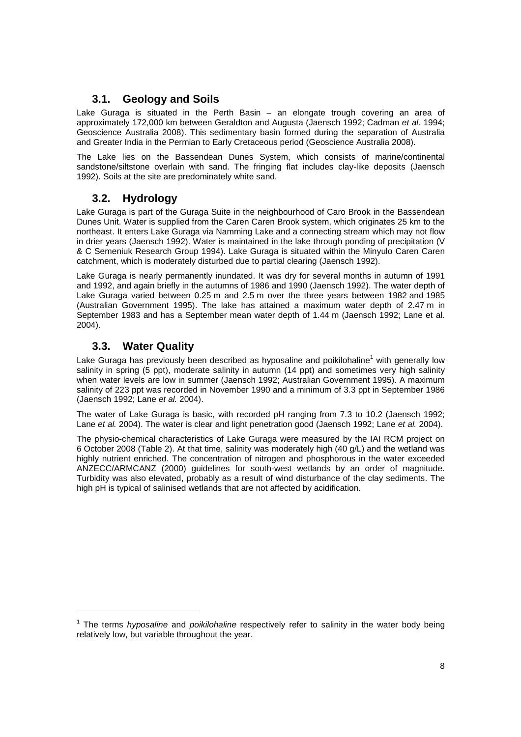## **3.1. Geology and Soils**

Lake Guraga is situated in the Perth Basin – an elongate trough covering an area of approximately 172,000 km between Geraldton and Augusta (Jaensch 1992; Cadman et al. 1994; Geoscience Australia 2008). This sedimentary basin formed during the separation of Australia and Greater India in the Permian to Early Cretaceous period (Geoscience Australia 2008).

The Lake lies on the Bassendean Dunes System, which consists of marine/continental sandstone/siltstone overlain with sand. The fringing flat includes clay-like deposits (Jaensch 1992). Soils at the site are predominately white sand.

## **3.2. Hydrology**

Lake Guraga is part of the Guraga Suite in the neighbourhood of Caro Brook in the Bassendean Dunes Unit. Water is supplied from the Caren Caren Brook system, which originates 25 km to the northeast. It enters Lake Guraga via Namming Lake and a connecting stream which may not flow in drier years (Jaensch 1992). Water is maintained in the lake through ponding of precipitation (V & C Semeniuk Research Group 1994). Lake Guraga is situated within the Minyulo Caren Caren catchment, which is moderately disturbed due to partial clearing (Jaensch 1992).

Lake Guraga is nearly permanently inundated. It was dry for several months in autumn of 1991 and 1992, and again briefly in the autumns of 1986 and 1990 (Jaensch 1992). The water depth of Lake Guraga varied between 0.25 m and 2.5 m over the three years between 1982 and 1985 (Australian Government 1995). The lake has attained a maximum water depth of 2.47 m in September 1983 and has a September mean water depth of 1.44 m (Jaensch 1992; Lane et al. 2004).

## **3.3. Water Quality**

1

Lake Guraga has previously been described as hyposaline and poikilohaline<sup>1</sup> with generally low salinity in spring (5 ppt), moderate salinity in autumn (14 ppt) and sometimes very high salinity when water levels are low in summer (Jaensch 1992; Australian Government 1995). A maximum salinity of 223 ppt was recorded in November 1990 and a minimum of 3.3 ppt in September 1986 (Jaensch 1992; Lane et al. 2004).

The water of Lake Guraga is basic, with recorded pH ranging from 7.3 to 10.2 (Jaensch 1992; Lane et al. 2004). The water is clear and light penetration good (Jaensch 1992; Lane et al. 2004).

The physio-chemical characteristics of Lake Guraga were measured by the IAI RCM project on 6 October 2008 (Table 2). At that time, salinity was moderately high (40 g/L) and the wetland was highly nutrient enriched. The concentration of nitrogen and phosphorous in the water exceeded ANZECC/ARMCANZ (2000) guidelines for south-west wetlands by an order of magnitude. Turbidity was also elevated, probably as a result of wind disturbance of the clay sediments. The high pH is typical of salinised wetlands that are not affected by acidification.

<sup>&</sup>lt;sup>1</sup> The terms *hyposaline* and *poikilohaline* respectively refer to salinity in the water body being relatively low, but variable throughout the year.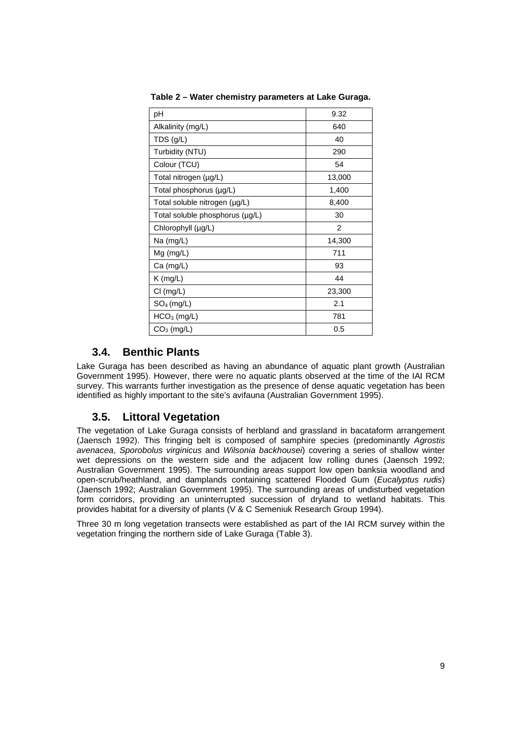| рH                              | 9.32   |
|---------------------------------|--------|
| Alkalinity (mg/L)               | 640    |
| TDS (g/L)                       | 40     |
| Turbidity (NTU)                 | 290    |
| Colour (TCU)                    | 54     |
| Total nitrogen (µg/L)           | 13,000 |
| Total phosphorus (µg/L)         | 1,400  |
| Total soluble nitrogen (µg/L)   | 8,400  |
| Total soluble phosphorus (µg/L) | 30     |
| Chlorophyll (µg/L)              | 2      |
| Na $(mg/L)$                     | 14,300 |
| $Mg$ (mg/L)                     | 711    |
| Ca (mg/L)                       | 93     |
| $K$ (mg/L)                      | 44     |
| CI (mg/L)                       | 23,300 |
| $SO_4$ (mg/L)                   | 2.1    |
| $HCO3$ (mg/L)                   | 781    |
| $CO3$ (mg/L)                    | 0.5    |

**Table 2 – Water chemistry parameters at Lake Guraga.** 

## **3.4. Benthic Plants**

Lake Guraga has been described as having an abundance of aquatic plant growth (Australian Government 1995). However, there were no aquatic plants observed at the time of the IAI RCM survey. This warrants further investigation as the presence of dense aquatic vegetation has been identified as highly important to the site's avifauna (Australian Government 1995).

## **3.5. Littoral Vegetation**

The vegetation of Lake Guraga consists of herbland and grassland in bacataform arrangement (Jaensch 1992). This fringing belt is composed of samphire species (predominantly Agrostis avenacea, Sporobolus virginicus and Wilsonia backhousei) covering a series of shallow winter wet depressions on the western side and the adjacent low rolling dunes (Jaensch 1992; Australian Government 1995). The surrounding areas support low open banksia woodland and open-scrub/heathland, and damplands containing scattered Flooded Gum (Eucalyptus rudis) (Jaensch 1992; Australian Government 1995). The surrounding areas of undisturbed vegetation form corridors, providing an uninterrupted succession of dryland to wetland habitats. This provides habitat for a diversity of plants (V & C Semeniuk Research Group 1994).

Three 30 m long vegetation transects were established as part of the IAI RCM survey within the vegetation fringing the northern side of Lake Guraga (Table 3).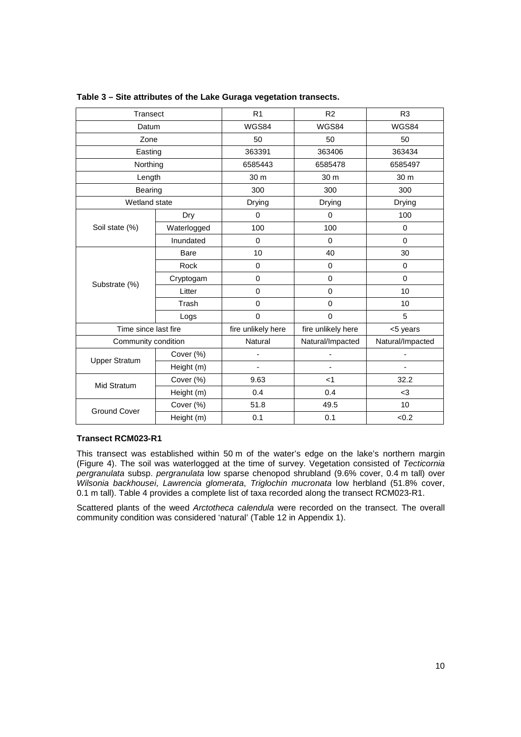| Transect             |             | R <sub>1</sub>     | R <sub>2</sub>           | R <sub>3</sub>   |
|----------------------|-------------|--------------------|--------------------------|------------------|
| Datum                |             | WGS84              | WGS84                    | WGS84            |
| Zone                 |             | 50                 | 50                       | 50               |
| Easting              |             | 363391             | 363406                   | 363434           |
| Northing             |             | 6585443            | 6585478                  | 6585497          |
| Length               |             | 30 m               | 30 m                     | 30 m             |
| Bearing              |             | 300                | 300                      | 300              |
| Wetland state        |             | <b>Drying</b>      | <b>Drying</b>            | Drying           |
|                      | Dry         | 0                  | 0                        | 100              |
| Soil state (%)       | Waterlogged | 100                | 100                      | 0                |
|                      | Inundated   | $\mathbf 0$        | $\mathbf 0$              | $\Omega$         |
|                      | <b>Bare</b> | 10                 | 40                       | 30               |
|                      | Rock        | $\mathbf 0$        | $\mathbf 0$              | 0                |
| Substrate (%)        | Cryptogam   | $\mathbf 0$        | 0                        | $\Omega$         |
|                      | Litter      | 0                  | 0                        | 10               |
|                      | Trash       | $\mathbf 0$        | 0                        | 10               |
|                      | Logs        | $\mathbf 0$        | 0                        | 5                |
| Time since last fire |             | fire unlikely here | fire unlikely here       | <5 years         |
| Community condition  |             | Natural            | Natural/Impacted         | Natural/Impacted |
| <b>Upper Stratum</b> | Cover (%)   | ä,                 | $\overline{\phantom{0}}$ | ä,               |
|                      | Height (m)  | ٠                  | ٠                        | ٠                |
| Mid Stratum          | Cover (%)   | 9.63               | $<$ 1                    | 32.2             |
|                      | Height (m)  | 0.4                | 0.4                      | $3$              |
| <b>Ground Cover</b>  | Cover (%)   | 51.8               | 49.5                     | 10               |
|                      | Height (m)  | 0.1                | 0.1                      | <0.2             |

#### **Table 3 – Site attributes of the Lake Guraga vegetation transects.**

#### **Transect RCM023-R1**

This transect was established within 50 m of the water's edge on the lake's northern margin (Figure 4). The soil was waterlogged at the time of survey. Vegetation consisted of Tecticornia pergranulata subsp. pergranulata low sparse chenopod shrubland (9.6% cover, 0.4 m tall) over Wilsonia backhousei, Lawrencia glomerata, Triglochin mucronata low herbland (51.8% cover, 0.1 m tall). Table 4 provides a complete list of taxa recorded along the transect RCM023-R1.

Scattered plants of the weed Arctotheca calendula were recorded on the transect. The overall community condition was considered 'natural' (Table 12 in Appendix 1).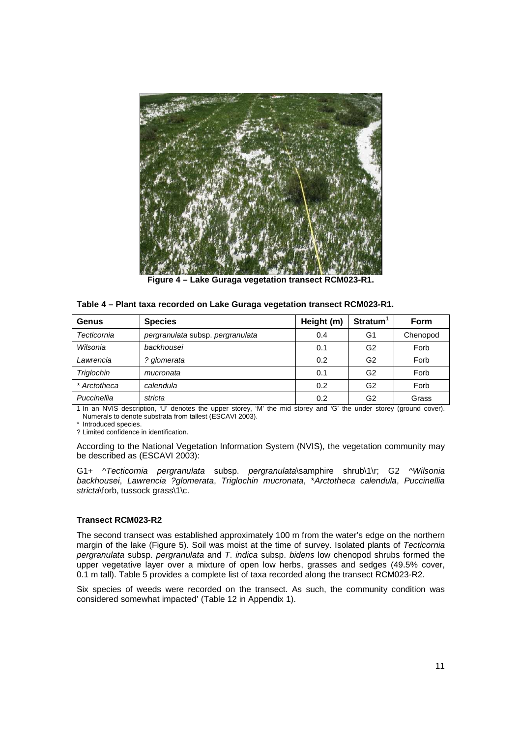

**Figure 4 – Lake Guraga vegetation transect RCM023-R1.** 

|  | Table 4 – Plant taxa recorded on Lake Guraga vegetation transect RCM023-R1. |
|--|-----------------------------------------------------------------------------|
|--|-----------------------------------------------------------------------------|

| Genus        | <b>Species</b>                   | Height (m) | Stratum <sup>1</sup> | Form     |
|--------------|----------------------------------|------------|----------------------|----------|
| Tecticornia  | pergranulata subsp. pergranulata | 0.4        | G1                   | Chenopod |
| Wilsonia     | backhousei                       | 0.1        | G <sub>2</sub>       | Forb     |
| Lawrencia    | ? glomerata                      | 0.2        | G <sub>2</sub>       | Forb     |
| Triglochin   | mucronata                        | 0.1        | G <sub>2</sub>       | Forb     |
| * Arctotheca | calendula                        | 0.2        | G2                   | Forb     |
| Puccinellia  | stricta                          | 0.2        | G2                   | Grass    |

1 In an NVIS description, 'U' denotes the upper storey, 'M' the mid storey and 'G' the under storey (ground cover). Numerals to denote substrata from tallest (ESCAVI 2003).

\* Introduced species.

? Limited confidence in identification.

According to the National Vegetation Information System (NVIS), the vegetation community may be described as (ESCAVI 2003):

G1+ ^Tecticornia pergranulata subsp. pergranulata\samphire shrub\1\r; G2 ^Wilsonia backhousei, Lawrencia ?glomerata, Triglochin mucronata, \*Arctotheca calendula, Puccinellia stricta\forb, tussock grass\1\c.

#### **Transect RCM023-R2**

The second transect was established approximately 100 m from the water's edge on the northern margin of the lake (Figure 5). Soil was moist at the time of survey. Isolated plants of Tecticornia pergranulata subsp. pergranulata and T. indica subsp. bidens low chenopod shrubs formed the upper vegetative layer over a mixture of open low herbs, grasses and sedges (49.5% cover, 0.1 m tall). Table 5 provides a complete list of taxa recorded along the transect RCM023-R2.

Six species of weeds were recorded on the transect. As such, the community condition was considered somewhat impacted' (Table 12 in Appendix 1).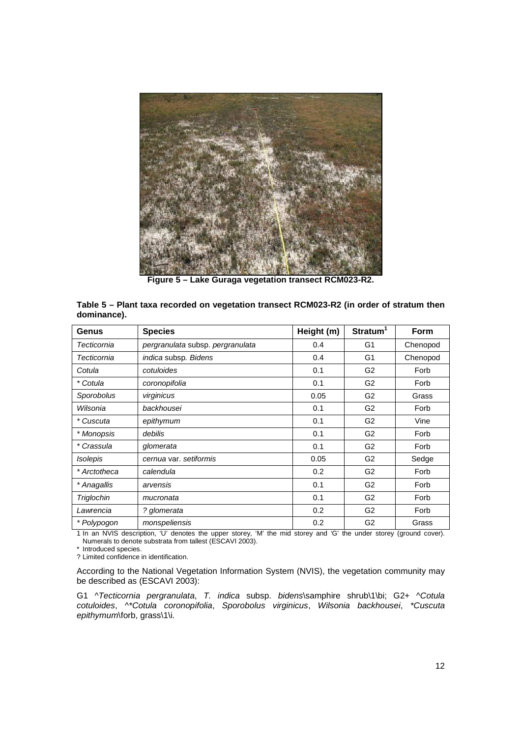

**Figure 5 – Lake Guraga vegetation transect RCM023-R2.** 

| Genus        | <b>Species</b>                   | Height (m) | Stratum <sup>1</sup> | Form     |
|--------------|----------------------------------|------------|----------------------|----------|
| Tecticornia  | pergranulata subsp. pergranulata | 0.4        | G1                   | Chenopod |
| Tecticornia  | indica subsp. Bidens             | 0.4        | G <sub>1</sub>       | Chenopod |
| Cotula       | cotuloides                       | 0.1        | G <sub>2</sub>       | Forb     |
| * Cotula     | coronopifolia                    | 0.1        | G <sub>2</sub>       | Forb     |
| Sporobolus   | virginicus                       | 0.05       | G <sub>2</sub>       | Grass    |
| Wilsonia     | backhousei                       | 0.1        | G <sub>2</sub>       | Forb     |
| * Cuscuta    | epithymum                        | 0.1        | G <sub>2</sub>       | Vine     |
| * Monopsis   | debilis                          | 0.1        | G <sub>2</sub>       | Forb     |
| * Crassula   | glomerata                        | 0.1        | G <sub>2</sub>       | Forb     |
| Isolepis     | cernua var. setiformis           | 0.05       | G <sub>2</sub>       | Sedge    |
| * Arctotheca | calendula                        | 0.2        | G <sub>2</sub>       | Forb     |
| * Anagallis  | arvensis                         | 0.1        | G <sub>2</sub>       | Forb     |
| Triglochin   | mucronata                        | 0.1        | G <sub>2</sub>       | Forb     |
| Lawrencia    | ? glomerata                      | 0.2        | G <sub>2</sub>       | Forb     |
| * Polypogon  | monspeliensis                    | 0.2        | G <sub>2</sub>       | Grass    |

|             | Table 5 – Plant taxa recorded on vegetation transect RCM023-R2 (in order of stratum then |  |
|-------------|------------------------------------------------------------------------------------------|--|
| dominance). |                                                                                          |  |

1 In an NVIS description, 'U' denotes the upper storey, 'M' the mid storey and 'G' the under storey (ground cover). Numerals to denote substrata from tallest (ESCAVI 2003).

\* Introduced species.

? Limited confidence in identification.

According to the National Vegetation Information System (NVIS), the vegetation community may be described as (ESCAVI 2003):

G1 ^Tecticornia pergranulata, T. indica subsp. bidens\samphire shrub\1\bi; G2+ ^Cotula cotuloides, ^\*Cotula coronopifolia, Sporobolus virginicus, Wilsonia backhousei, \*Cuscuta epithymum\forb, grass\1\i.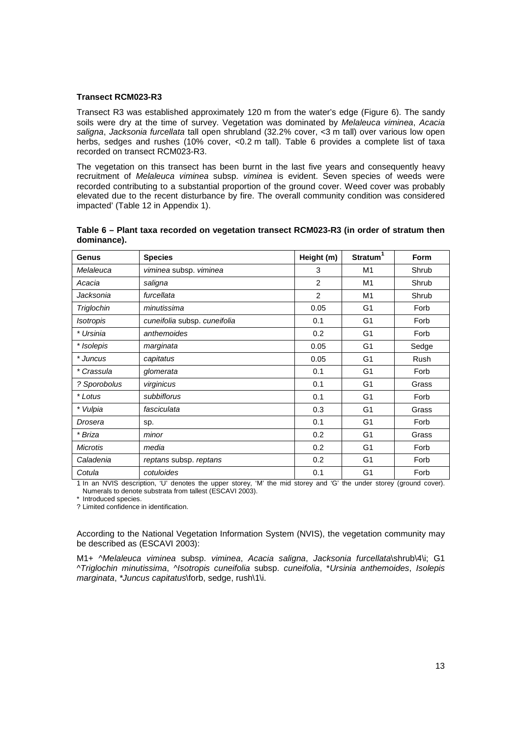#### **Transect RCM023-R3**

Transect R3 was established approximately 120 m from the water's edge (Figure 6). The sandy soils were dry at the time of survey. Vegetation was dominated by Melaleuca viminea, Acacia saligna, Jacksonia furcellata tall open shrubland (32.2% cover, <3 m tall) over various low open herbs, sedges and rushes (10% cover, <0.2 m tall). Table 6 provides a complete list of taxa recorded on transect RCM023-R3.

The vegetation on this transect has been burnt in the last five years and consequently heavy recruitment of Melaleuca viminea subsp. viminea is evident. Seven species of weeds were recorded contributing to a substantial proportion of the ground cover. Weed cover was probably elevated due to the recent disturbance by fire. The overall community condition was considered impacted' (Table 12 in Appendix 1).

| Genus            | <b>Species</b>               | Height (m) | Stratum <sup>1</sup> | Form  |
|------------------|------------------------------|------------|----------------------|-------|
| Melaleuca        | viminea subsp. viminea       | 3          | M1                   | Shrub |
| Acacia           | saligna                      | 2          | M1                   | Shrub |
| Jacksonia        | furcellata                   | 2          | M1                   | Shrub |
| Triglochin       | minutissima                  | 0.05       | G <sub>1</sub>       | Forb  |
| <b>Isotropis</b> | cuneifolia subsp. cuneifolia | 0.1        | G <sub>1</sub>       | Forb  |
| * Ursinia        | anthemoides                  | 0.2        | G <sub>1</sub>       | Forb  |
| * Isolepis       | marginata                    | 0.05       | G <sub>1</sub>       | Sedge |
| * Juncus         | capitatus                    | 0.05       | G <sub>1</sub>       | Rush  |
| * Crassula       | glomerata                    | 0.1        | G <sub>1</sub>       | Forb  |
| ? Sporobolus     | virginicus                   | 0.1        | G <sub>1</sub>       | Grass |
| * Lotus          | subbiflorus                  | 0.1        | G <sub>1</sub>       | Forb  |
| * Vulpia         | fasciculata                  | 0.3        | G <sub>1</sub>       | Grass |
| Drosera          | sp.                          | 0.1        | G <sub>1</sub>       | Forb  |
| * Briza          | minor                        | 0.2        | G <sub>1</sub>       | Grass |
| <b>Microtis</b>  | media                        | 0.2        | G <sub>1</sub>       | Forb  |
| Caladenia        | reptans subsp. reptans       | 0.2        | G <sub>1</sub>       | Forb  |
| Cotula           | cotuloides                   | 0.1        | G <sub>1</sub>       | Forb  |

| Table 6 – Plant taxa recorded on vegetation transect RCM023-R3 (in order of stratum then |  |  |
|------------------------------------------------------------------------------------------|--|--|
| dominance).                                                                              |  |  |

1 In an NVIS description, 'U' denotes the upper storey, 'M' the mid storey and 'G' the under storey (ground cover). Numerals to denote substrata from tallest (ESCAVI 2003).

\* Introduced species.

? Limited confidence in identification.

According to the National Vegetation Information System (NVIS), the vegetation community may be described as (ESCAVI 2003):

M1+ ^Melaleuca viminea subsp. viminea, Acacia saligna, Jacksonia furcellata\shrub\4\i; G1 ^Triglochin minutissima, ^Isotropis cuneifolia subsp. cuneifolia, \*Ursinia anthemoides, Isolepis marginata, \*Juncus capitatus\forb, sedge, rush\1\i.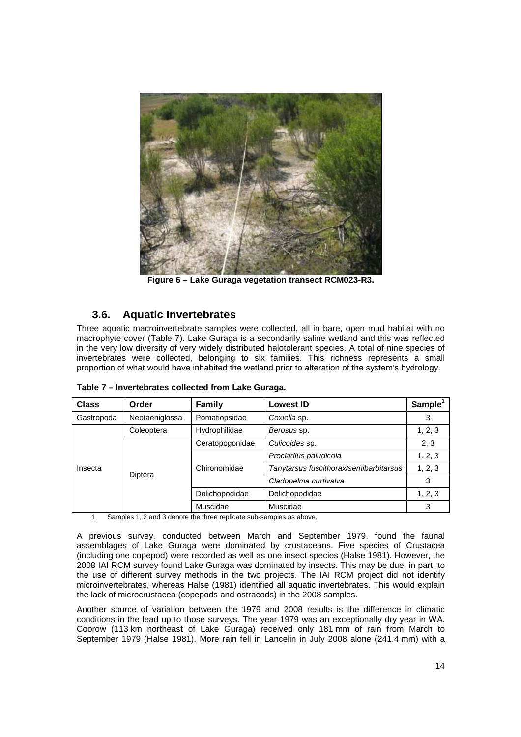

**Figure 6 – Lake Guraga vegetation transect RCM023-R3.** 

## **3.6. Aquatic Invertebrates**

Three aquatic macroinvertebrate samples were collected, all in bare, open mud habitat with no macrophyte cover (Table 7). Lake Guraga is a secondarily saline wetland and this was reflected in the very low diversity of very widely distributed halotolerant species. A total of nine species of invertebrates were collected, belonging to six families. This richness represents a small proportion of what would have inhabited the wetland prior to alteration of the system's hydrology.

| <b>Class</b> | Order          | Family          | <b>Lowest ID</b>                       | Sample <sup>1</sup> |
|--------------|----------------|-----------------|----------------------------------------|---------------------|
| Gastropoda   | Neotaeniglossa | Pomatiopsidae   | Coxiella sp.                           | 3                   |
|              | Coleoptera     | Hydrophilidae   | Berosus sp.                            | 1, 2, 3             |
|              |                | Ceratopogonidae | Culicoides sp.                         | 2, 3                |
|              |                |                 | Procladius paludicola                  | 1, 2, 3             |
| Insecta      |                | Chironomidae    | Tanytarsus fuscithorax/semibarbitarsus | 1, 2, 3             |
|              | Diptera        |                 | Cladopelma curtivalva                  | 3                   |
|              |                | Dolichopodidae  | Dolichopodidae                         | 1, 2, 3             |
|              |                | Muscidae        | Muscidae                               | 3                   |

**Table 7 – Invertebrates collected from Lake Guraga.**

Samples 1, 2 and 3 denote the three replicate sub-samples as above.

A previous survey, conducted between March and September 1979, found the faunal assemblages of Lake Guraga were dominated by crustaceans. Five species of Crustacea (including one copepod) were recorded as well as one insect species (Halse 1981). However, the 2008 IAI RCM survey found Lake Guraga was dominated by insects. This may be due, in part, to the use of different survey methods in the two projects. The IAI RCM project did not identify microinvertebrates, whereas Halse (1981) identified all aquatic invertebrates. This would explain the lack of microcrustacea (copepods and ostracods) in the 2008 samples.

Another source of variation between the 1979 and 2008 results is the difference in climatic conditions in the lead up to those surveys. The year 1979 was an exceptionally dry year in WA. Coorow (113 km northeast of Lake Guraga) received only 181 mm of rain from March to September 1979 (Halse 1981). More rain fell in Lancelin in July 2008 alone (241.4 mm) with a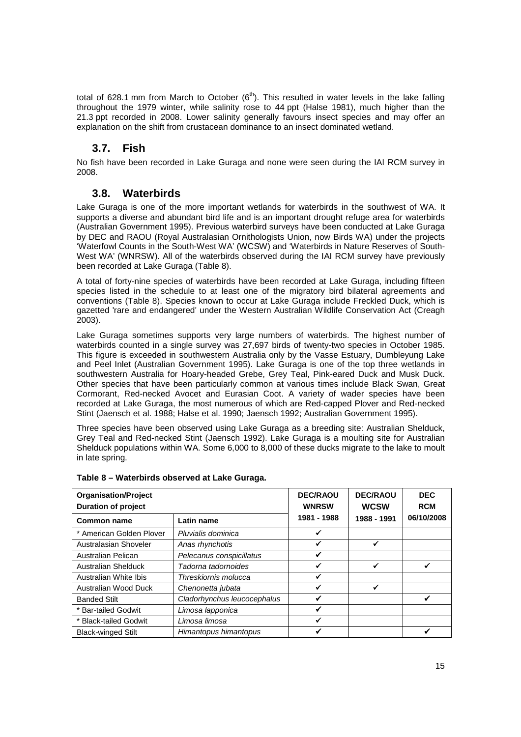total of 628.1 mm from March to October  $(6<sup>th</sup>)$ . This resulted in water levels in the lake falling throughout the 1979 winter, while salinity rose to 44 ppt (Halse 1981), much higher than the 21.3 ppt recorded in 2008. Lower salinity generally favours insect species and may offer an explanation on the shift from crustacean dominance to an insect dominated wetland.

## **3.7. Fish**

No fish have been recorded in Lake Guraga and none were seen during the IAI RCM survey in 2008.

## **3.8. Waterbirds**

Lake Guraga is one of the more important wetlands for waterbirds in the southwest of WA. It supports a diverse and abundant bird life and is an important drought refuge area for waterbirds (Australian Government 1995). Previous waterbird surveys have been conducted at Lake Guraga by DEC and RAOU (Royal Australasian Ornithologists Union, now Birds WA) under the projects 'Waterfowl Counts in the South-West WA' (WCSW) and 'Waterbirds in Nature Reserves of South-West WA' (WNRSW). All of the waterbirds observed during the IAI RCM survey have previously been recorded at Lake Guraga (Table 8).

A total of forty-nine species of waterbirds have been recorded at Lake Guraga, including fifteen species listed in the schedule to at least one of the migratory bird bilateral agreements and conventions (Table 8). Species known to occur at Lake Guraga include Freckled Duck, which is gazetted 'rare and endangered' under the Western Australian Wildlife Conservation Act (Creagh 2003).

Lake Guraga sometimes supports very large numbers of waterbirds. The highest number of waterbirds counted in a single survey was 27,697 birds of twenty-two species in October 1985. This figure is exceeded in southwestern Australia only by the Vasse Estuary, Dumbleyung Lake and Peel Inlet (Australian Government 1995). Lake Guraga is one of the top three wetlands in southwestern Australia for Hoary-headed Grebe, Grey Teal, Pink-eared Duck and Musk Duck. Other species that have been particularly common at various times include Black Swan, Great Cormorant, Red-necked Avocet and Eurasian Coot. A variety of wader species have been recorded at Lake Guraga, the most numerous of which are Red-capped Plover and Red-necked Stint (Jaensch et al. 1988; Halse et al. 1990; Jaensch 1992; Australian Government 1995).

Three species have been observed using Lake Guraga as a breeding site: Australian Shelduck, Grey Teal and Red-necked Stint (Jaensch 1992). Lake Guraga is a moulting site for Australian Shelduck populations within WA. Some 6,000 to 8,000 of these ducks migrate to the lake to moult in late spring.

| <b>Organisation/Project</b><br><b>Duration of project</b> | <b>DEC/RAOU</b><br><b>WNRSW</b> | <b>DEC/RAOU</b><br><b>WCSW</b><br>1988 - 1991 | <b>DEC</b><br><b>RCM</b> |  |
|-----------------------------------------------------------|---------------------------------|-----------------------------------------------|--------------------------|--|
| <b>Common name</b>                                        | 1981 - 1988                     |                                               | 06/10/2008               |  |
| * American Golden Plover                                  | Pluvialis dominica              | ✔                                             |                          |  |
| Australasian Shoveler                                     | Anas rhynchotis                 | ✔                                             | ✔                        |  |
| Australian Pelican                                        | Pelecanus conspicillatus        | ✔                                             |                          |  |
| <b>Australian Shelduck</b>                                | Tadorna tadornoides             | ✔                                             | ✓                        |  |
| Australian White Ibis                                     | Threskiornis molucca            | ✓                                             |                          |  |
| Australian Wood Duck                                      | Chenonetta jubata               | ✓                                             | ✓                        |  |
| <b>Banded Stilt</b>                                       | Cladorhynchus leucocephalus     | ✓                                             |                          |  |
| * Bar-tailed Godwit                                       | Limosa lapponica                | ✔                                             |                          |  |
| * Black-tailed Godwit                                     | Limosa limosa                   | ✓                                             |                          |  |
| <b>Black-winged Stilt</b>                                 | Himantopus himantopus           |                                               |                          |  |

|  |  | Table 8 – Waterbirds observed at Lake Guraga. |
|--|--|-----------------------------------------------|
|  |  |                                               |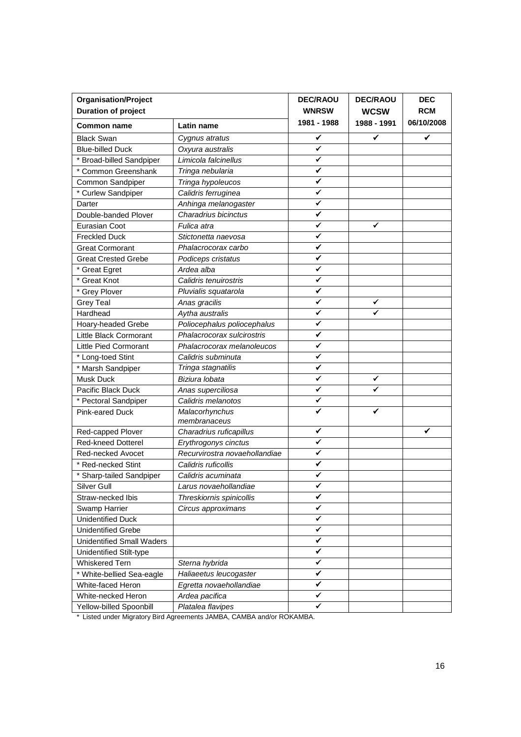| <b>Organisation/Project</b>      | <b>DEC/RAOU</b>                | <b>DEC/RAOU</b> | <b>DEC</b>  |            |
|----------------------------------|--------------------------------|-----------------|-------------|------------|
| <b>Duration of project</b>       |                                | <b>WNRSW</b>    | <b>WCSW</b> | <b>RCM</b> |
| <b>Common name</b>               | Latin name                     | 1981 - 1988     | 1988 - 1991 | 06/10/2008 |
| <b>Black Swan</b>                | Cygnus atratus                 | ✓               | ✓           | ✓          |
| <b>Blue-billed Duck</b>          | Oxyura australis               | ✓               |             |            |
| * Broad-billed Sandpiper         | Limicola falcinellus           | ✓               |             |            |
| * Common Greenshank              | Tringa nebularia               | ✓               |             |            |
| Common Sandpiper                 | Tringa hypoleucos              | ✓               |             |            |
| * Curlew Sandpiper               | Calidris ferruginea            | ✓               |             |            |
| Darter                           | Anhinga melanogaster           | ✔               |             |            |
| Double-banded Plover             | Charadrius bicinctus           | ✓               |             |            |
| Eurasian Coot                    | Fulica atra                    | ✔               | ✔           |            |
| <b>Freckled Duck</b>             | Stictonetta naevosa            | ✔               |             |            |
| <b>Great Cormorant</b>           | Phalacrocorax carbo            | ✓               |             |            |
| <b>Great Crested Grebe</b>       | Podiceps cristatus             | ✓               |             |            |
| * Great Egret                    | Ardea alba                     | ✔               |             |            |
| * Great Knot                     | Calidris tenuirostris          | ✓               |             |            |
| * Grey Plover                    | Pluvialis squatarola           | ✓               |             |            |
| <b>Grey Teal</b>                 | Anas gracilis                  | ✓               | ✓           |            |
| Hardhead                         | Aytha australis                | ✓               |             |            |
| <b>Hoary-headed Grebe</b>        | Poliocephalus poliocephalus    | ✓               |             |            |
| Little Black Cormorant           | Phalacrocorax sulcirostris     | ✔               |             |            |
| <b>Little Pied Cormorant</b>     | Phalacrocorax melanoleucos     | ✓               |             |            |
| * Long-toed Stint                | Calidris subminuta             | ✔               |             |            |
| * Marsh Sandpiper                | Tringa stagnatilis             | ✓               |             |            |
| <b>Musk Duck</b>                 | Biziura lobata                 | ✔               | ✓           |            |
| Pacific Black Duck               | Anas superciliosa              | ✔               | ✔           |            |
| * Pectoral Sandpiper             | Calidris melanotos             | ✓               |             |            |
| <b>Pink-eared Duck</b>           | Malacorhynchus<br>membranaceus |                 |             |            |
| Red-capped Plover                | Charadrius ruficapillus        | ✔               |             | ✔          |
| <b>Red-kneed Dotterel</b>        | Erythrogonys cinctus           | ✓               |             |            |
| Red-necked Avocet                | Recurvirostra novaehollandiae  | ✔               |             |            |
| * Red-necked Stint               | Calidris ruficollis            | ✔               |             |            |
| * Sharp-tailed Sandpiper         | Calidris acuminata             | ✓               |             |            |
| Silver Gull                      | Larus novaehollandiae          | ✔               |             |            |
| Straw-necked Ibis                | Threskiornis spinicollis       | ✓               |             |            |
| Swamp Harrier                    | Circus approximans             | ✔               |             |            |
| <b>Unidentified Duck</b>         |                                | ✔               |             |            |
| <b>Unidentified Grebe</b>        |                                | ✔               |             |            |
| <b>Unidentified Small Waders</b> |                                | ✓               |             |            |
| Unidentified Stilt-type          |                                | ✓               |             |            |
| <b>Whiskered Tern</b>            | Sterna hybrida                 | ✓               |             |            |
| * White-bellied Sea-eagle        | Haliaeetus leucogaster         | ✓               |             |            |
| White-faced Heron                | Egretta novaehollandiae        | ✔               |             |            |
| White-necked Heron               | Ardea pacifica                 | ✔               |             |            |
| Yellow-billed Spoonbill          | Platalea flavipes<br>0.1101    | ✔<br>DQIXABADA  |             |            |

Listed under Migratory Bird Agreements JAMBA, CAMBA and/or ROKAMBA.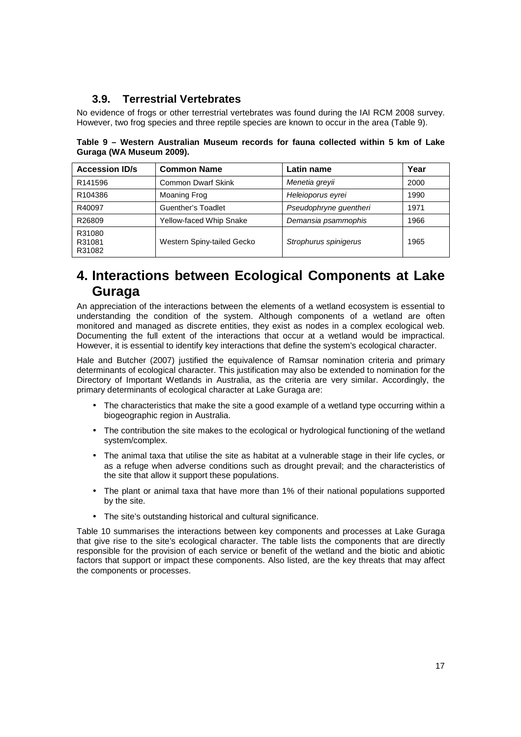## **3.9. Terrestrial Vertebrates**

No evidence of frogs or other terrestrial vertebrates was found during the IAI RCM 2008 survey. However, two frog species and three reptile species are known to occur in the area (Table 9).

**Table 9 – Western Australian Museum records for fauna collected within 5 km of Lake Guraga (WA Museum 2009).** 

| <b>Accession ID/s</b>      | <b>Common Name</b>             | Latin name             | Year |
|----------------------------|--------------------------------|------------------------|------|
| R141596                    | <b>Common Dwarf Skink</b>      | Menetia grevii         | 2000 |
| R <sub>104386</sub>        | Moaning Frog                   | Heleioporus evrei      | 1990 |
| R40097                     | <b>Guenther's Toadlet</b>      | Pseudophryne guentheri | 1971 |
| R26809                     | <b>Yellow-faced Whip Snake</b> | Demansia psammophis    | 1966 |
| R31080<br>R31081<br>R31082 | Western Spiny-tailed Gecko     | Strophurus spinigerus  | 1965 |

## **4. Interactions between Ecological Components at Lake Guraga**

An appreciation of the interactions between the elements of a wetland ecosystem is essential to understanding the condition of the system. Although components of a wetland are often monitored and managed as discrete entities, they exist as nodes in a complex ecological web. Documenting the full extent of the interactions that occur at a wetland would be impractical. However, it is essential to identify key interactions that define the system's ecological character.

Hale and Butcher (2007) justified the equivalence of Ramsar nomination criteria and primary determinants of ecological character. This justification may also be extended to nomination for the Directory of Important Wetlands in Australia, as the criteria are very similar. Accordingly, the primary determinants of ecological character at Lake Guraga are:

- The characteristics that make the site a good example of a wetland type occurring within a biogeographic region in Australia.
- The contribution the site makes to the ecological or hydrological functioning of the wetland system/complex.
- The animal taxa that utilise the site as habitat at a vulnerable stage in their life cycles, or as a refuge when adverse conditions such as drought prevail; and the characteristics of the site that allow it support these populations.
- The plant or animal taxa that have more than 1% of their national populations supported by the site.
- The site's outstanding historical and cultural significance.

Table 10 summarises the interactions between key components and processes at Lake Guraga that give rise to the site's ecological character. The table lists the components that are directly responsible for the provision of each service or benefit of the wetland and the biotic and abiotic factors that support or impact these components. Also listed, are the key threats that may affect the components or processes.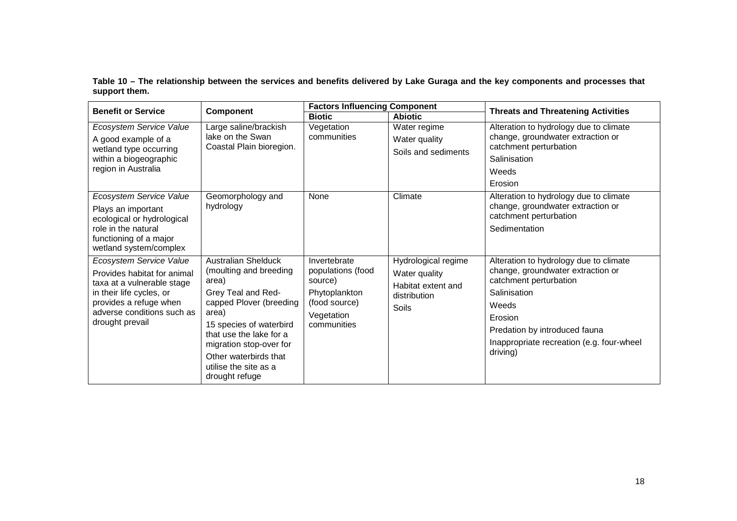**Table 10 – The relationship between the services and benefits delivered by Lake Guraga and the key components and processes that support them.** 

| <b>Benefit or Service</b>                                                                                                                                                                   | <b>Component</b>                                                                                                                                                                                                                                                             | <b>Factors Influencing Component</b>                                                                        |                                                                                     | <b>Threats and Threatening Activities</b>                                                                                                                                                                                           |  |
|---------------------------------------------------------------------------------------------------------------------------------------------------------------------------------------------|------------------------------------------------------------------------------------------------------------------------------------------------------------------------------------------------------------------------------------------------------------------------------|-------------------------------------------------------------------------------------------------------------|-------------------------------------------------------------------------------------|-------------------------------------------------------------------------------------------------------------------------------------------------------------------------------------------------------------------------------------|--|
|                                                                                                                                                                                             |                                                                                                                                                                                                                                                                              | <b>Biotic</b>                                                                                               | <b>Abiotic</b>                                                                      |                                                                                                                                                                                                                                     |  |
| Ecosystem Service Value<br>A good example of a<br>wetland type occurring<br>within a biogeographic<br>region in Australia                                                                   | Large saline/brackish<br>lake on the Swan<br>Coastal Plain bioregion.                                                                                                                                                                                                        | Vegetation<br>communities                                                                                   | Water regime<br>Water quality<br>Soils and sediments                                | Alteration to hydrology due to climate<br>change, groundwater extraction or<br>catchment perturbation<br>Salinisation<br>Weeds<br>Erosion                                                                                           |  |
| Ecosystem Service Value<br>Plays an important<br>ecological or hydrological<br>role in the natural<br>functioning of a major<br>wetland system/complex                                      | Geomorphology and<br>hydrology                                                                                                                                                                                                                                               | None                                                                                                        | Climate                                                                             | Alteration to hydrology due to climate<br>change, groundwater extraction or<br>catchment perturbation<br>Sedimentation                                                                                                              |  |
| Ecosystem Service Value<br>Provides habitat for animal<br>taxa at a vulnerable stage<br>in their life cycles, or<br>provides a refuge when<br>adverse conditions such as<br>drought prevail | <b>Australian Shelduck</b><br>(moulting and breeding<br>area)<br>Grey Teal and Red-<br>capped Plover (breeding<br>area)<br>15 species of waterbird<br>that use the lake for a<br>migration stop-over for<br>Other waterbirds that<br>utilise the site as a<br>drought refuge | Invertebrate<br>populations (food<br>source)<br>Phytoplankton<br>(food source)<br>Vegetation<br>communities | Hydrological regime<br>Water quality<br>Habitat extent and<br>distribution<br>Soils | Alteration to hydrology due to climate<br>change, groundwater extraction or<br>catchment perturbation<br>Salinisation<br>Weeds<br>Erosion<br>Predation by introduced fauna<br>Inappropriate recreation (e.g. four-wheel<br>driving) |  |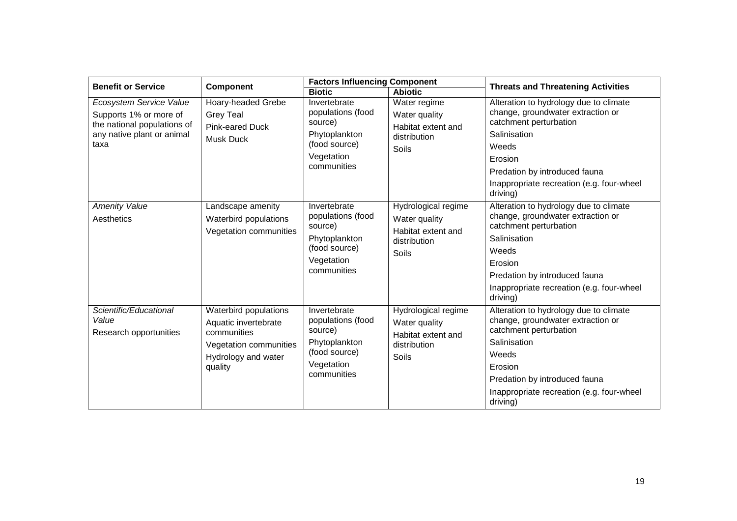| <b>Benefit or Service</b>                                                                                              | <b>Component</b>                                                                                                         | <b>Factors Influencing Component</b>                                                                        |                                                                                     | <b>Threats and Threatening Activities</b>                                                                                                                                                                                           |  |
|------------------------------------------------------------------------------------------------------------------------|--------------------------------------------------------------------------------------------------------------------------|-------------------------------------------------------------------------------------------------------------|-------------------------------------------------------------------------------------|-------------------------------------------------------------------------------------------------------------------------------------------------------------------------------------------------------------------------------------|--|
|                                                                                                                        |                                                                                                                          | <b>Biotic</b>                                                                                               | <b>Abiotic</b>                                                                      |                                                                                                                                                                                                                                     |  |
| Ecosystem Service Value<br>Supports 1% or more of<br>the national populations of<br>any native plant or animal<br>taxa | Hoary-headed Grebe<br><b>Grey Teal</b><br>Pink-eared Duck<br>Musk Duck                                                   | Invertebrate<br>populations (food<br>source)<br>Phytoplankton<br>(food source)<br>Vegetation<br>communities | Water regime<br>Water quality<br>Habitat extent and<br>distribution<br>Soils        | Alteration to hydrology due to climate<br>change, groundwater extraction or<br>catchment perturbation<br>Salinisation<br>Weeds<br>Erosion<br>Predation by introduced fauna<br>Inappropriate recreation (e.g. four-wheel<br>driving) |  |
| <b>Amenity Value</b><br>Aesthetics                                                                                     | Landscape amenity<br>Waterbird populations<br>Vegetation communities                                                     | Invertebrate<br>populations (food<br>source)<br>Phytoplankton<br>(food source)<br>Vegetation<br>communities | Hydrological regime<br>Water quality<br>Habitat extent and<br>distribution<br>Soils | Alteration to hydrology due to climate<br>change, groundwater extraction or<br>catchment perturbation<br>Salinisation<br>Weeds<br>Erosion<br>Predation by introduced fauna<br>Inappropriate recreation (e.g. four-wheel<br>driving) |  |
| Scientific/Educational<br>Value<br>Research opportunities                                                              | Waterbird populations<br>Aquatic invertebrate<br>communities<br>Vegetation communities<br>Hydrology and water<br>quality | Invertebrate<br>populations (food<br>source)<br>Phytoplankton<br>(food source)<br>Vegetation<br>communities | Hydrological regime<br>Water quality<br>Habitat extent and<br>distribution<br>Soils | Alteration to hydrology due to climate<br>change, groundwater extraction or<br>catchment perturbation<br>Salinisation<br>Weeds<br>Erosion<br>Predation by introduced fauna<br>Inappropriate recreation (e.g. four-wheel<br>driving) |  |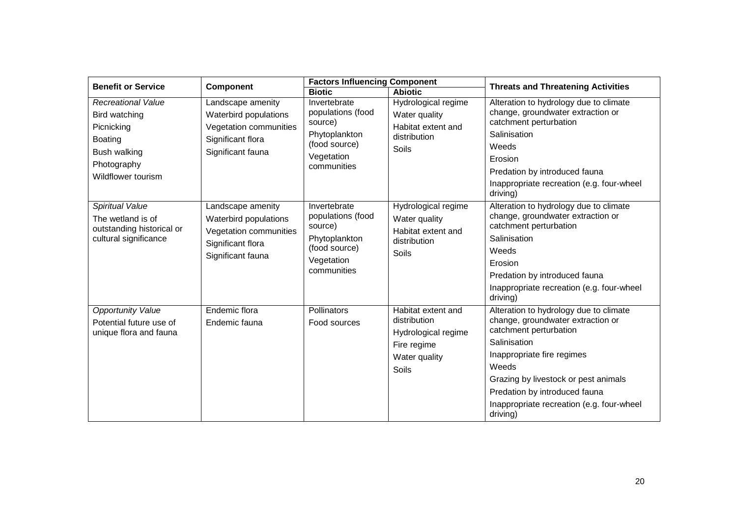| <b>Benefit or Service</b> | <b>Component</b>       | <b>Factors Influencing Component</b> |                     | <b>Threats and Threatening Activities</b>                   |  |
|---------------------------|------------------------|--------------------------------------|---------------------|-------------------------------------------------------------|--|
|                           |                        | <b>Biotic</b>                        | <b>Abiotic</b>      |                                                             |  |
| <b>Recreational Value</b> | Landscape amenity      | Invertebrate                         | Hydrological regime | Alteration to hydrology due to climate                      |  |
| Bird watching             | Waterbird populations  | populations (food                    | Water quality       | change, groundwater extraction or                           |  |
| Picnicking                | Vegetation communities | source)                              | Habitat extent and  | catchment perturbation                                      |  |
| Boating                   | Significant flora      | Phytoplankton<br>(food source)       | distribution        | Salinisation                                                |  |
| Bush walking              | Significant fauna      | Vegetation                           | Soils               | Weeds                                                       |  |
| Photography               |                        | communities                          |                     | Erosion                                                     |  |
| Wildflower tourism        |                        |                                      |                     | Predation by introduced fauna                               |  |
|                           |                        |                                      |                     | Inappropriate recreation (e.g. four-wheel<br>driving)       |  |
| Spiritual Value           | Landscape amenity      | Invertebrate                         | Hydrological regime | Alteration to hydrology due to climate                      |  |
| The wetland is of         | Waterbird populations  | populations (food<br>source)         | Water quality       | change, groundwater extraction or<br>catchment perturbation |  |
| outstanding historical or | Vegetation communities |                                      | Habitat extent and  | Salinisation                                                |  |
| cultural significance     | Significant flora      | Phytoplankton<br>(food source)       | distribution        |                                                             |  |
|                           | Significant fauna      | Vegetation                           | Soils               | Weeds                                                       |  |
|                           |                        | communities                          |                     | Erosion                                                     |  |
|                           |                        |                                      |                     | Predation by introduced fauna                               |  |
|                           |                        |                                      |                     | Inappropriate recreation (e.g. four-wheel<br>driving)       |  |
| <b>Opportunity Value</b>  | Endemic flora          | Pollinators                          | Habitat extent and  | Alteration to hydrology due to climate                      |  |
| Potential future use of   | Endemic fauna          | Food sources                         | distribution        | change, groundwater extraction or                           |  |
| unique flora and fauna    |                        |                                      | Hydrological regime | catchment perturbation                                      |  |
|                           |                        |                                      | Fire regime         | Salinisation                                                |  |
|                           |                        |                                      | Water quality       | Inappropriate fire regimes                                  |  |
|                           |                        |                                      | Soils               | Weeds                                                       |  |
|                           |                        |                                      |                     | Grazing by livestock or pest animals                        |  |
|                           |                        |                                      |                     | Predation by introduced fauna                               |  |
|                           |                        |                                      |                     | Inappropriate recreation (e.g. four-wheel<br>driving)       |  |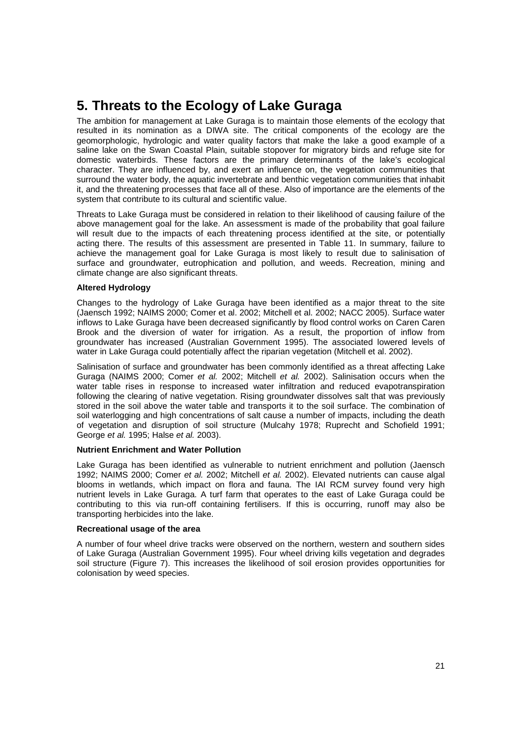## **5. Threats to the Ecology of Lake Guraga**

The ambition for management at Lake Guraga is to maintain those elements of the ecology that resulted in its nomination as a DIWA site. The critical components of the ecology are the geomorphologic, hydrologic and water quality factors that make the lake a good example of a saline lake on the Swan Coastal Plain, suitable stopover for migratory birds and refuge site for domestic waterbirds. These factors are the primary determinants of the lake's ecological character. They are influenced by, and exert an influence on, the vegetation communities that surround the water body, the aquatic invertebrate and benthic vegetation communities that inhabit it, and the threatening processes that face all of these. Also of importance are the elements of the system that contribute to its cultural and scientific value.

Threats to Lake Guraga must be considered in relation to their likelihood of causing failure of the above management goal for the lake. An assessment is made of the probability that goal failure will result due to the impacts of each threatening process identified at the site, or potentially acting there. The results of this assessment are presented in Table 11. In summary, failure to achieve the management goal for Lake Guraga is most likely to result due to salinisation of surface and groundwater, eutrophication and pollution, and weeds. Recreation, mining and climate change are also significant threats.

#### **Altered Hydrology**

Changes to the hydrology of Lake Guraga have been identified as a major threat to the site (Jaensch 1992; NAIMS 2000; Comer et al. 2002; Mitchell et al. 2002; NACC 2005). Surface water inflows to Lake Guraga have been decreased significantly by flood control works on Caren Caren Brook and the diversion of water for irrigation. As a result, the proportion of inflow from groundwater has increased (Australian Government 1995). The associated lowered levels of water in Lake Guraga could potentially affect the riparian vegetation (Mitchell et al. 2002).

Salinisation of surface and groundwater has been commonly identified as a threat affecting Lake Guraga (NAIMS 2000; Comer et al. 2002; Mitchell et al. 2002). Salinisation occurs when the water table rises in response to increased water infiltration and reduced evapotranspiration following the clearing of native vegetation. Rising groundwater dissolves salt that was previously stored in the soil above the water table and transports it to the soil surface. The combination of soil waterlogging and high concentrations of salt cause a number of impacts, including the death of vegetation and disruption of soil structure (Mulcahy 1978; Ruprecht and Schofield 1991; George et al. 1995; Halse et al. 2003).

#### **Nutrient Enrichment and Water Pollution**

Lake Guraga has been identified as vulnerable to nutrient enrichment and pollution (Jaensch 1992; NAIMS 2000; Comer et al. 2002; Mitchell et al. 2002). Elevated nutrients can cause algal blooms in wetlands, which impact on flora and fauna. The IAI RCM survey found very high nutrient levels in Lake Guraga. A turf farm that operates to the east of Lake Guraga could be contributing to this via run-off containing fertilisers. If this is occurring, runoff may also be transporting herbicides into the lake.

#### **Recreational usage of the area**

A number of four wheel drive tracks were observed on the northern, western and southern sides of Lake Guraga (Australian Government 1995). Four wheel driving kills vegetation and degrades soil structure (Figure 7). This increases the likelihood of soil erosion provides opportunities for colonisation by weed species.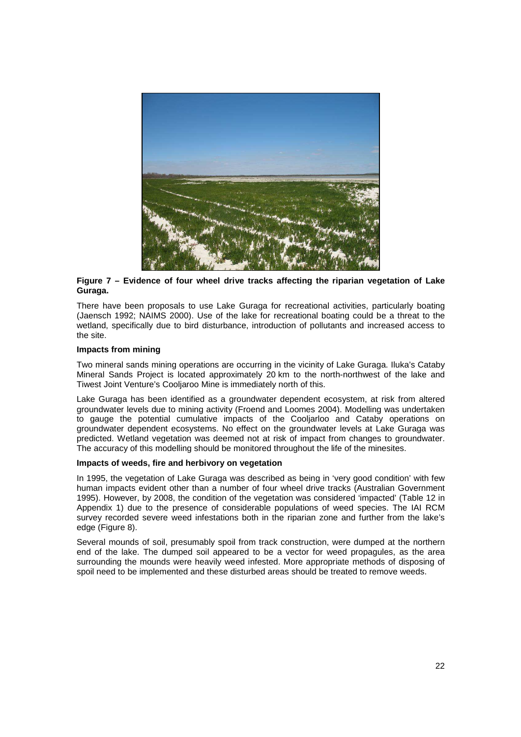

#### **Figure 7 – Evidence of four wheel drive tracks affecting the riparian vegetation of Lake Guraga.**

There have been proposals to use Lake Guraga for recreational activities, particularly boating (Jaensch 1992; NAIMS 2000). Use of the lake for recreational boating could be a threat to the wetland, specifically due to bird disturbance, introduction of pollutants and increased access to the site.

#### **Impacts from mining**

Two mineral sands mining operations are occurring in the vicinity of Lake Guraga. Iluka's Cataby Mineral Sands Project is located approximately 20 km to the north-northwest of the lake and Tiwest Joint Venture's Cooljaroo Mine is immediately north of this.

Lake Guraga has been identified as a groundwater dependent ecosystem, at risk from altered groundwater levels due to mining activity (Froend and Loomes 2004). Modelling was undertaken to gauge the potential cumulative impacts of the Cooljarloo and Cataby operations on groundwater dependent ecosystems. No effect on the groundwater levels at Lake Guraga was predicted. Wetland vegetation was deemed not at risk of impact from changes to groundwater. The accuracy of this modelling should be monitored throughout the life of the minesites.

#### **Impacts of weeds, fire and herbivory on vegetation**

In 1995, the vegetation of Lake Guraga was described as being in 'very good condition' with few human impacts evident other than a number of four wheel drive tracks (Australian Government 1995). However, by 2008, the condition of the vegetation was considered 'impacted' (Table 12 in Appendix 1) due to the presence of considerable populations of weed species. The IAI RCM survey recorded severe weed infestations both in the riparian zone and further from the lake's edge (Figure 8).

Several mounds of soil, presumably spoil from track construction, were dumped at the northern end of the lake. The dumped soil appeared to be a vector for weed propagules, as the area surrounding the mounds were heavily weed infested. More appropriate methods of disposing of spoil need to be implemented and these disturbed areas should be treated to remove weeds.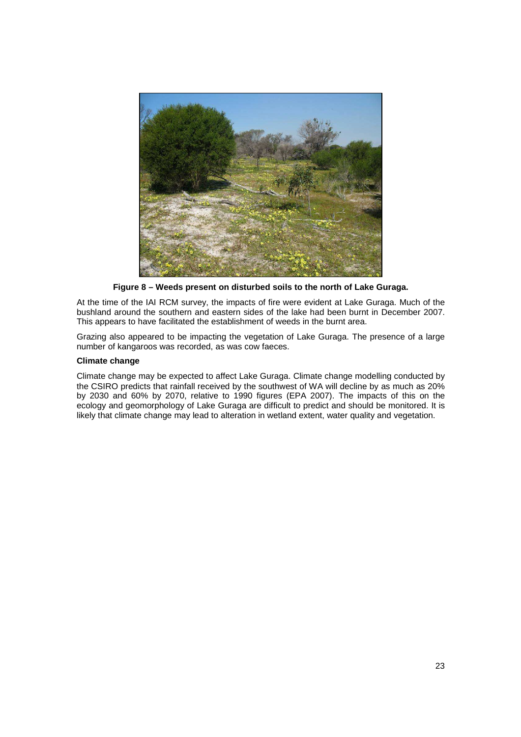

**Figure 8 – Weeds present on disturbed soils to the north of Lake Guraga.** 

At the time of the IAI RCM survey, the impacts of fire were evident at Lake Guraga. Much of the bushland around the southern and eastern sides of the lake had been burnt in December 2007. This appears to have facilitated the establishment of weeds in the burnt area.

Grazing also appeared to be impacting the vegetation of Lake Guraga. The presence of a large number of kangaroos was recorded, as was cow faeces.

#### **Climate change**

Climate change may be expected to affect Lake Guraga. Climate change modelling conducted by the CSIRO predicts that rainfall received by the southwest of WA will decline by as much as 20% by 2030 and 60% by 2070, relative to 1990 figures (EPA 2007). The impacts of this on the ecology and geomorphology of Lake Guraga are difficult to predict and should be monitored. It is likely that climate change may lead to alteration in wetland extent, water quality and vegetation.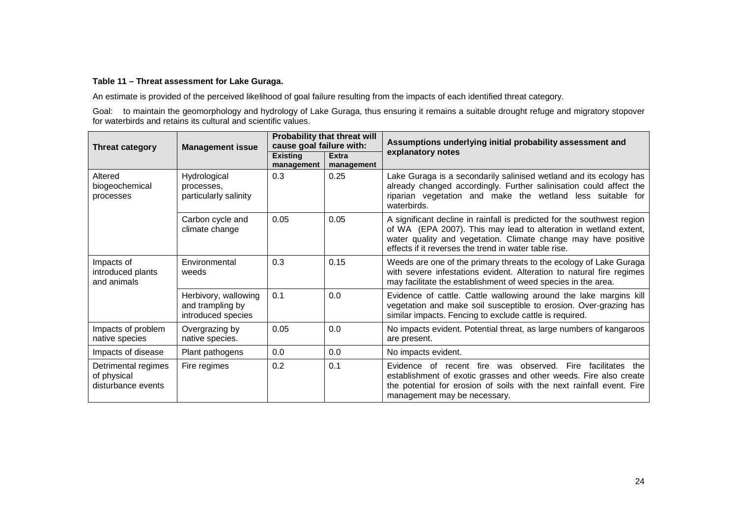#### **Table 11 – Threat assessment for Lake Guraga.**

An estimate is provided of the perceived likelihood of goal failure resulting from the impacts of each identified threat category.

Goal: to maintain the geomorphology and hydrology of Lake Guraga, thus ensuring it remains a suitable drought refuge and migratory stopover for waterbirds and retains its cultural and scientific values.

| <b>Threat category</b>                                   | <b>Management issue</b>                                        | Probability that threat will<br>cause goal failure with: |                            | Assumptions underlying initial probability assessment and                                                                                                                                                                                                              |
|----------------------------------------------------------|----------------------------------------------------------------|----------------------------------------------------------|----------------------------|------------------------------------------------------------------------------------------------------------------------------------------------------------------------------------------------------------------------------------------------------------------------|
|                                                          |                                                                | <b>Existing</b><br>management                            | <b>Extra</b><br>management | explanatory notes                                                                                                                                                                                                                                                      |
| Altered<br>biogeochemical<br>processes                   | Hydrological<br>processes,<br>particularly salinity            | 0.3                                                      | 0.25                       | Lake Guraga is a secondarily salinised wetland and its ecology has<br>already changed accordingly. Further salinisation could affect the<br>riparian vegetation and make the wetland less suitable for<br>waterbirds.                                                  |
|                                                          | Carbon cycle and<br>climate change                             | 0.05                                                     | 0.05                       | A significant decline in rainfall is predicted for the southwest region<br>of WA (EPA 2007). This may lead to alteration in wetland extent,<br>water quality and vegetation. Climate change may have positive<br>effects if it reverses the trend in water table rise. |
| Impacts of<br>introduced plants<br>and animals           | Environmental<br>weeds                                         | 0.3                                                      | 0.15                       | Weeds are one of the primary threats to the ecology of Lake Guraga<br>with severe infestations evident. Alteration to natural fire regimes<br>may facilitate the establishment of weed species in the area.                                                            |
|                                                          | Herbivory, wallowing<br>and trampling by<br>introduced species | 0.1                                                      | 0.0                        | Evidence of cattle. Cattle wallowing around the lake margins kill<br>vegetation and make soil susceptible to erosion. Over-grazing has<br>similar impacts. Fencing to exclude cattle is required.                                                                      |
| Impacts of problem<br>native species                     | Overgrazing by<br>native species.                              | 0.05                                                     | 0.0                        | No impacts evident. Potential threat, as large numbers of kangaroos<br>are present.                                                                                                                                                                                    |
| Impacts of disease                                       | Plant pathogens                                                | 0.0                                                      | 0.0                        | No impacts evident.                                                                                                                                                                                                                                                    |
| Detrimental regimes<br>of physical<br>disturbance events | Fire regimes                                                   | 0.2                                                      | 0.1                        | Evidence of recent fire was observed.<br>Fire<br>facilitates<br>the<br>establishment of exotic grasses and other weeds. Fire also create<br>the potential for erosion of soils with the next rainfall event. Fire<br>management may be necessary.                      |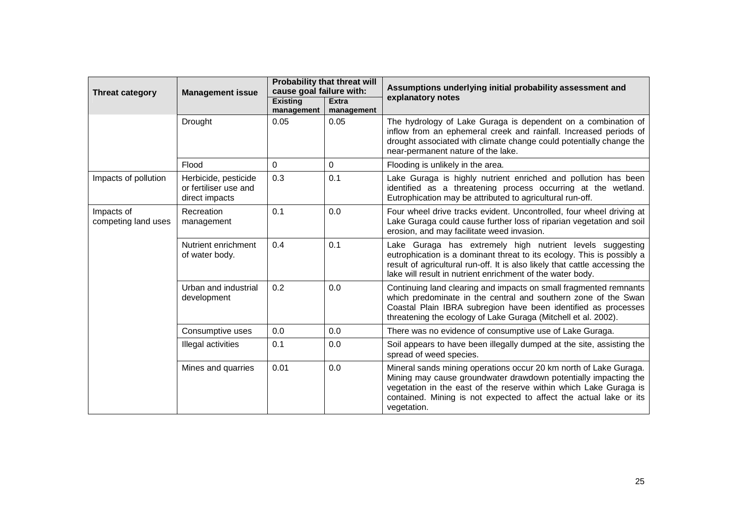| <b>Threat category</b>            | <b>Management issue</b>                                         | Probability that threat will<br>cause goal failure with: |                            | Assumptions underlying initial probability assessment and                                                                                                                                                                                                                                      |  |
|-----------------------------------|-----------------------------------------------------------------|----------------------------------------------------------|----------------------------|------------------------------------------------------------------------------------------------------------------------------------------------------------------------------------------------------------------------------------------------------------------------------------------------|--|
|                                   |                                                                 | <b>Existing</b><br>management                            | <b>Extra</b><br>management | explanatory notes                                                                                                                                                                                                                                                                              |  |
|                                   | Drought                                                         | 0.05                                                     | 0.05                       | The hydrology of Lake Guraga is dependent on a combination of<br>inflow from an ephemeral creek and rainfall. Increased periods of<br>drought associated with climate change could potentially change the<br>near-permanent nature of the lake.                                                |  |
|                                   | Flood                                                           | 0                                                        | 0                          | Flooding is unlikely in the area.                                                                                                                                                                                                                                                              |  |
| Impacts of pollution              | Herbicide, pesticide<br>or fertiliser use and<br>direct impacts | 0.3                                                      | 0.1                        | Lake Guraga is highly nutrient enriched and pollution has been<br>identified as a threatening process occurring at the wetland.<br>Eutrophication may be attributed to agricultural run-off.                                                                                                   |  |
| Impacts of<br>competing land uses | Recreation<br>management                                        | 0.1                                                      | 0.0                        | Four wheel drive tracks evident. Uncontrolled, four wheel driving at<br>Lake Guraga could cause further loss of riparian vegetation and soil<br>erosion, and may facilitate weed invasion.                                                                                                     |  |
|                                   | Nutrient enrichment<br>of water body.                           | 0.4                                                      | 0.1                        | Lake Guraga has extremely high nutrient levels suggesting<br>eutrophication is a dominant threat to its ecology. This is possibly a<br>result of agricultural run-off. It is also likely that cattle accessing the<br>lake will result in nutrient enrichment of the water body.               |  |
|                                   | Urban and industrial<br>development                             | 0.2                                                      | 0.0                        | Continuing land clearing and impacts on small fragmented remnants<br>which predominate in the central and southern zone of the Swan<br>Coastal Plain IBRA subregion have been identified as processes<br>threatening the ecology of Lake Guraga (Mitchell et al. 2002).                        |  |
|                                   | Consumptive uses                                                | 0.0                                                      | 0.0                        | There was no evidence of consumptive use of Lake Guraga.                                                                                                                                                                                                                                       |  |
|                                   | Illegal activities                                              | 0.1                                                      | 0.0                        | Soil appears to have been illegally dumped at the site, assisting the<br>spread of weed species.                                                                                                                                                                                               |  |
|                                   | Mines and quarries                                              | 0.01                                                     | 0.0                        | Mineral sands mining operations occur 20 km north of Lake Guraga.<br>Mining may cause groundwater drawdown potentially impacting the<br>vegetation in the east of the reserve within which Lake Guraga is<br>contained. Mining is not expected to affect the actual lake or its<br>vegetation. |  |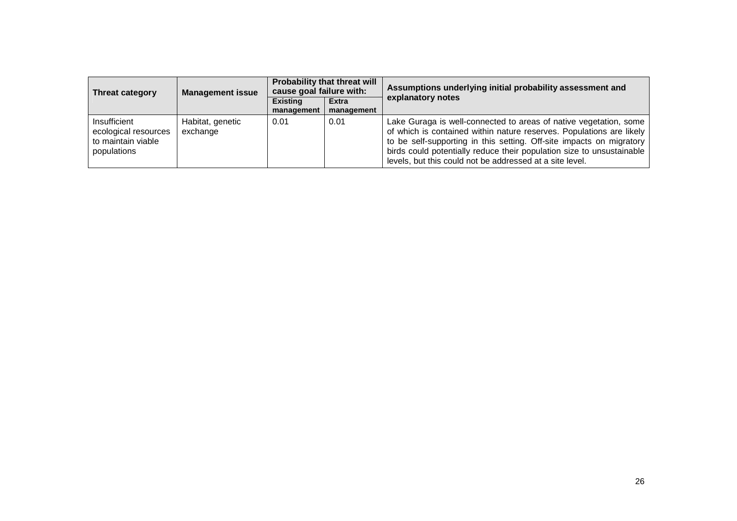| <b>Threat category</b>                                                    | <b>Management issue</b>      | Probability that threat will<br>cause goal failure with: |                            | Assumptions underlying initial probability assessment and                                                                                                                                                                                                                                                                                              |  |
|---------------------------------------------------------------------------|------------------------------|----------------------------------------------------------|----------------------------|--------------------------------------------------------------------------------------------------------------------------------------------------------------------------------------------------------------------------------------------------------------------------------------------------------------------------------------------------------|--|
|                                                                           |                              | <b>Existing</b><br>management                            | <b>Extra</b><br>management | explanatory notes                                                                                                                                                                                                                                                                                                                                      |  |
| Insufficient<br>ecological resources<br>to maintain viable<br>populations | Habitat, genetic<br>exchange | 0.01                                                     | 0.01                       | Lake Guraga is well-connected to areas of native vegetation, some<br>of which is contained within nature reserves. Populations are likely<br>to be self-supporting in this setting. Off-site impacts on migratory<br>birds could potentially reduce their population size to unsustainable<br>levels, but this could not be addressed at a site level. |  |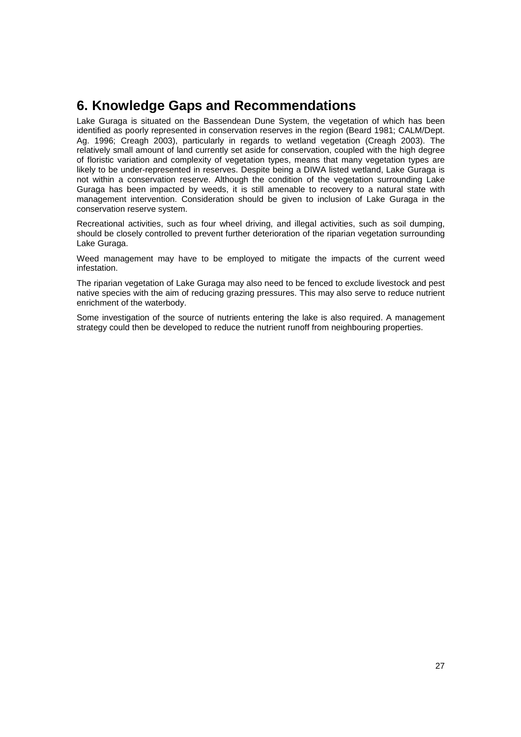## **6. Knowledge Gaps and Recommendations**

Lake Guraga is situated on the Bassendean Dune System, the vegetation of which has been identified as poorly represented in conservation reserves in the region (Beard 1981; CALM/Dept. Ag. 1996; Creagh 2003), particularly in regards to wetland vegetation (Creagh 2003). The relatively small amount of land currently set aside for conservation, coupled with the high degree of floristic variation and complexity of vegetation types, means that many vegetation types are likely to be under-represented in reserves. Despite being a DIWA listed wetland, Lake Guraga is not within a conservation reserve. Although the condition of the vegetation surrounding Lake Guraga has been impacted by weeds, it is still amenable to recovery to a natural state with management intervention. Consideration should be given to inclusion of Lake Guraga in the conservation reserve system.

Recreational activities, such as four wheel driving, and illegal activities, such as soil dumping, should be closely controlled to prevent further deterioration of the riparian vegetation surrounding Lake Guraga.

Weed management may have to be employed to mitigate the impacts of the current weed infestation.

The riparian vegetation of Lake Guraga may also need to be fenced to exclude livestock and pest native species with the aim of reducing grazing pressures. This may also serve to reduce nutrient enrichment of the waterbody.

Some investigation of the source of nutrients entering the lake is also required. A management strategy could then be developed to reduce the nutrient runoff from neighbouring properties.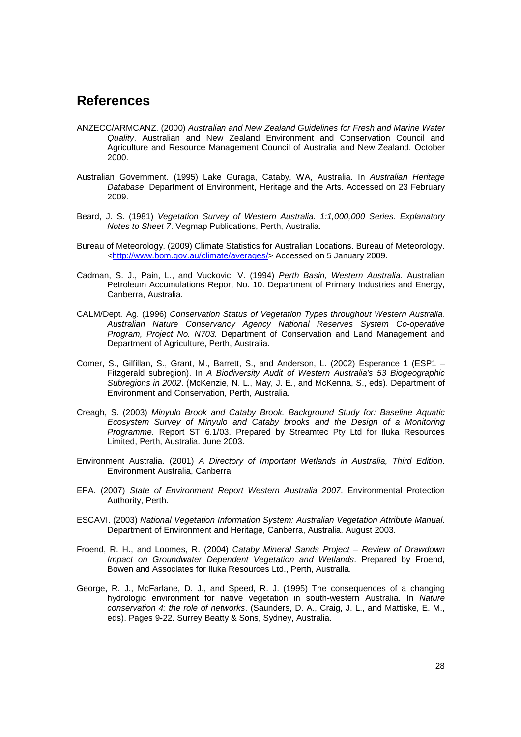## **References**

- ANZECC/ARMCANZ. (2000) Australian and New Zealand Guidelines for Fresh and Marine Water Quality. Australian and New Zealand Environment and Conservation Council and Agriculture and Resource Management Council of Australia and New Zealand. October 2000.
- Australian Government. (1995) Lake Guraga, Cataby, WA, Australia. In Australian Heritage Database. Department of Environment, Heritage and the Arts. Accessed on 23 February 2009.
- Beard, J. S. (1981) Vegetation Survey of Western Australia. 1:1,000,000 Series. Explanatory Notes to Sheet 7. Vegmap Publications, Perth, Australia.
- Bureau of Meteorology. (2009) Climate Statistics for Australian Locations. Bureau of Meteorology. <http://www.bom.gov.au/climate/averages/> Accessed on 5 January 2009.
- Cadman, S. J., Pain, L., and Vuckovic, V. (1994) Perth Basin, Western Australia. Australian Petroleum Accumulations Report No. 10. Department of Primary Industries and Energy, Canberra, Australia.
- CALM/Dept. Ag. (1996) Conservation Status of Vegetation Types throughout Western Australia. Australian Nature Conservancy Agency National Reserves System Co-operative Program, Project No. N703. Department of Conservation and Land Management and Department of Agriculture, Perth, Australia.
- Comer, S., Gilfillan, S., Grant, M., Barrett, S., and Anderson, L. (2002) Esperance 1 (ESP1 Fitzgerald subregion). In A Biodiversity Audit of Western Australia's 53 Biogeographic Subregions in 2002. (McKenzie, N. L., May, J. E., and McKenna, S., eds). Department of Environment and Conservation, Perth, Australia.
- Creagh, S. (2003) Minyulo Brook and Cataby Brook. Background Study for: Baseline Aquatic Ecosystem Survey of Minyulo and Cataby brooks and the Design of a Monitoring Programme. Report ST 6.1/03. Prepared by Streamtec Pty Ltd for Iluka Resources Limited, Perth, Australia. June 2003.
- Environment Australia. (2001) A Directory of Important Wetlands in Australia, Third Edition. Environment Australia, Canberra.
- EPA. (2007) State of Environment Report Western Australia 2007. Environmental Protection Authority, Perth.
- ESCAVI. (2003) National Vegetation Information System: Australian Vegetation Attribute Manual. Department of Environment and Heritage, Canberra, Australia. August 2003.
- Froend, R. H., and Loomes, R. (2004) Cataby Mineral Sands Project Review of Drawdown Impact on Groundwater Dependent Vegetation and Wetlands. Prepared by Froend, Bowen and Associates for Iluka Resources Ltd., Perth, Australia.
- George, R. J., McFarlane, D. J., and Speed, R. J. (1995) The consequences of a changing hydrologic environment for native vegetation in south-western Australia. In Nature conservation 4: the role of networks. (Saunders, D. A., Craig, J. L., and Mattiske, E. M., eds). Pages 9-22. Surrey Beatty & Sons, Sydney, Australia.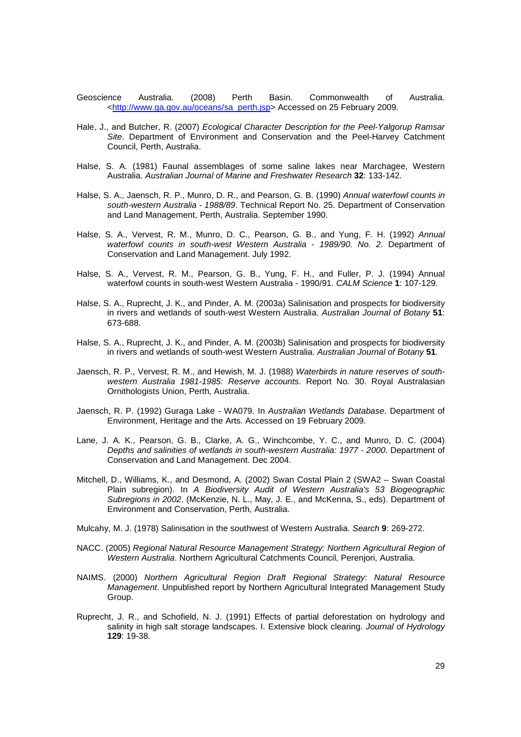- Geoscience Australia. (2008) Perth Basin. Commonwealth of Australia. <http://www.ga.gov.au/oceans/sa\_perth.jsp> Accessed on 25 February 2009.
- Hale, J., and Butcher, R. (2007) Ecological Character Description for the Peel-Yalgorup Ramsar Site. Department of Environment and Conservation and the Peel-Harvey Catchment Council, Perth, Australia.
- Halse, S. A. (1981) Faunal assemblages of some saline lakes near Marchagee, Western Australia. Australian Journal of Marine and Freshwater Research **32**: 133-142.
- Halse, S. A., Jaensch, R. P., Munro, D. R., and Pearson, G. B. (1990) Annual waterfowl counts in south-western Australia - 1988/89. Technical Report No. 25. Department of Conservation and Land Management, Perth, Australia. September 1990.
- Halse, S. A., Vervest, R. M., Munro, D. C., Pearson, G. B., and Yung, F. H. (1992) Annual waterfowl counts in south-west Western Australia - 1989/90. No. 2. Department of Conservation and Land Management. July 1992.
- Halse, S. A., Vervest, R. M., Pearson, G. B., Yung, F. H., and Fuller, P. J. (1994) Annual waterfowl counts in south-west Western Australia - 1990/91. CALM Science **1**: 107-129.
- Halse, S. A., Ruprecht, J. K., and Pinder, A. M. (2003a) Salinisation and prospects for biodiversity in rivers and wetlands of south-west Western Australia. Australian Journal of Botany **51**: 673-688.
- Halse, S. A., Ruprecht, J. K., and Pinder, A. M. (2003b) Salinisation and prospects for biodiversity in rivers and wetlands of south-west Western Australia. Australian Journal of Botany **51**.
- Jaensch, R. P., Vervest, R. M., and Hewish, M. J. (1988) Waterbirds in nature reserves of southwestern Australia 1981-1985: Reserve accounts. Report No. 30. Royal Australasian Ornithologists Union, Perth, Australia.
- Jaensch, R. P. (1992) Guraga Lake WA079. In Australian Wetlands Database. Department of Environment, Heritage and the Arts. Accessed on 19 February 2009.
- Lane, J. A. K., Pearson, G. B., Clarke, A. G., Winchcombe, Y. C., and Munro, D. C. (2004) Depths and salinities of wetlands in south-western Australia: 1977 - 2000. Department of Conservation and Land Management. Dec 2004.
- Mitchell, D., Williams, K., and Desmond, A. (2002) Swan Costal Plain 2 (SWA2 Swan Coastal Plain subregion). In A Biodiversity Audit of Western Australia's 53 Biogeographic Subregions in 2002. (McKenzie, N. L., May, J. E., and McKenna, S., eds). Department of Environment and Conservation, Perth, Australia.
- Mulcahy, M. J. (1978) Salinisation in the southwest of Western Australia. Search **9**: 269-272.
- NACC. (2005) Regional Natural Resource Management Strategy: Northern Agricultural Region of Western Australia. Northern Agricultural Catchments Council, Perenjori, Australia.
- NAIMS. (2000) Northern Agricultural Region Draft Regional Strategy: Natural Resource Management. Unpublished report by Northern Agricultural Integrated Management Study Group.
- Ruprecht, J. R., and Schofield, N. J. (1991) Effects of partial deforestation on hydrology and salinity in high salt storage landscapes. I. Extensive block clearing. Journal of Hydrology **129**: 19-38.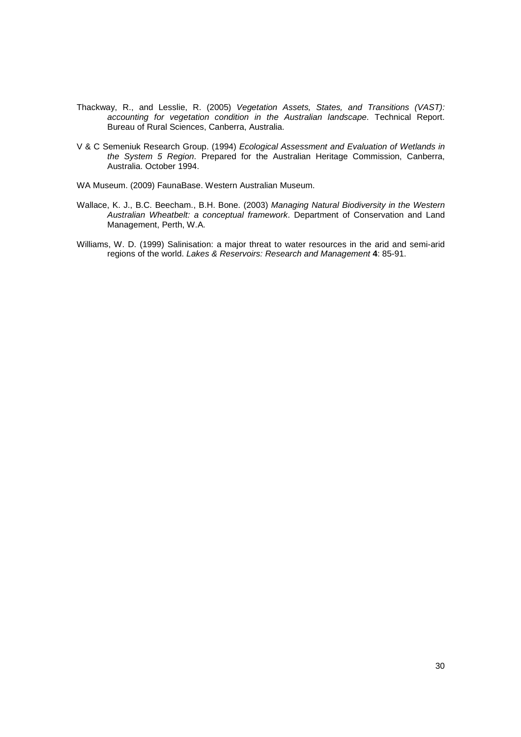- Thackway, R., and Lesslie, R. (2005) Vegetation Assets, States, and Transitions (VAST): accounting for vegetation condition in the Australian landscape. Technical Report. Bureau of Rural Sciences, Canberra, Australia.
- V & C Semeniuk Research Group. (1994) Ecological Assessment and Evaluation of Wetlands in the System 5 Region. Prepared for the Australian Heritage Commission, Canberra, Australia. October 1994.

WA Museum. (2009) FaunaBase. Western Australian Museum.

- Wallace, K. J., B.C. Beecham., B.H. Bone. (2003) Managing Natural Biodiversity in the Western Australian Wheatbelt: a conceptual framework. Department of Conservation and Land Management, Perth, W.A.
- Williams, W. D. (1999) Salinisation: a major threat to water resources in the arid and semi-arid regions of the world. Lakes & Reservoirs: Research and Management **4**: 85-91.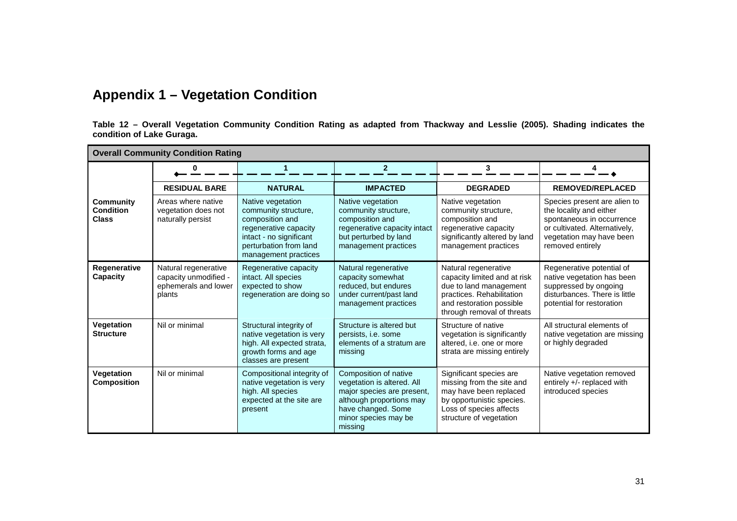## **Appendix 1 – Vegetation Condition**

**Table 12 – Overall Vegetation Community Condition Rating as adapted from Thackway and Lesslie (2005). Shading indicates the condition of Lake Guraga.** 

|                                                      | <b>Overall Community Condition Rating</b>                                       |                                                                                                                                                                    |                                                                                                                                                                        |                                                                                                                                                                       |                                                                                                                                                                       |
|------------------------------------------------------|---------------------------------------------------------------------------------|--------------------------------------------------------------------------------------------------------------------------------------------------------------------|------------------------------------------------------------------------------------------------------------------------------------------------------------------------|-----------------------------------------------------------------------------------------------------------------------------------------------------------------------|-----------------------------------------------------------------------------------------------------------------------------------------------------------------------|
|                                                      | 0                                                                               | $\mathbf 1$                                                                                                                                                        | $\mathbf{2}$                                                                                                                                                           | 3                                                                                                                                                                     |                                                                                                                                                                       |
|                                                      | <b>RESIDUAL BARE</b>                                                            | <b>NATURAL</b>                                                                                                                                                     | <b>IMPACTED</b>                                                                                                                                                        | <b>DEGRADED</b>                                                                                                                                                       | <b>REMOVED/REPLACED</b>                                                                                                                                               |
| <b>Community</b><br><b>Condition</b><br><b>Class</b> | Areas where native<br>vegetation does not<br>naturally persist                  | Native vegetation<br>community structure,<br>composition and<br>regenerative capacity<br>intact - no significant<br>perturbation from land<br>management practices | Native vegetation<br>community structure,<br>composition and<br>regenerative capacity intact<br>but perturbed by land<br>management practices                          | Native vegetation<br>community structure,<br>composition and<br>regenerative capacity<br>significantly altered by land<br>management practices                        | Species present are alien to<br>the locality and either<br>spontaneous in occurrence<br>or cultivated. Alternatively,<br>vegetation may have been<br>removed entirely |
| Regenerative<br>Capacity                             | Natural regenerative<br>capacity unmodified -<br>ephemerals and lower<br>plants | Regenerative capacity<br>intact. All species<br>expected to show<br>regeneration are doing so                                                                      | Natural regenerative<br>capacity somewhat<br>reduced, but endures<br>under current/past land<br>management practices                                                   | Natural regenerative<br>capacity limited and at risk<br>due to land management<br>practices. Rehabilitation<br>and restoration possible<br>through removal of threats | Regenerative potential of<br>native vegetation has been<br>suppressed by ongoing<br>disturbances. There is little<br>potential for restoration                        |
| Vegetation<br><b>Structure</b>                       | Nil or minimal                                                                  | Structural integrity of<br>native vegetation is very<br>high. All expected strata,<br>growth forms and age<br>classes are present                                  | Structure is altered but<br>persists, i.e. some<br>elements of a stratum are<br>missing                                                                                | Structure of native<br>vegetation is significantly<br>altered, i.e. one or more<br>strata are missing entirely                                                        | All structural elements of<br>native vegetation are missing<br>or highly degraded                                                                                     |
| Vegetation<br><b>Composition</b>                     | Nil or minimal                                                                  | Compositional integrity of<br>native vegetation is very<br>high. All species<br>expected at the site are<br>present                                                | Composition of native<br>vegetation is altered. All<br>major species are present,<br>although proportions may<br>have changed. Some<br>minor species may be<br>missing | Significant species are<br>missing from the site and<br>may have been replaced<br>by opportunistic species.<br>Loss of species affects<br>structure of vegetation     | Native vegetation removed<br>entirely +/- replaced with<br>introduced species                                                                                         |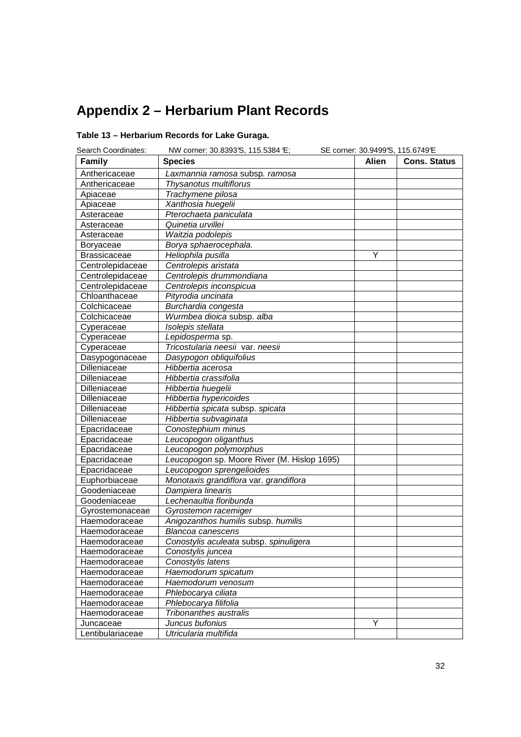# **Appendix 2 – Herbarium Plant Records**

## **Table 13 – Herbarium Records for Lake Guraga.**

| Search Coordinates: | NW corner: 30.8393 S, 115.5384 E;           | SE corner: 30.9499'S, 115.6749'E |                     |
|---------------------|---------------------------------------------|----------------------------------|---------------------|
| Family              | <b>Species</b>                              | <b>Alien</b>                     | <b>Cons. Status</b> |
| Anthericaceae       | Laxmannia ramosa subsp. ramosa              |                                  |                     |
| Anthericaceae       | Thysanotus multiflorus                      |                                  |                     |
| Apiaceae            | Trachymene pilosa                           |                                  |                     |
| Apiaceae            | Xanthosia huegelii                          |                                  |                     |
| Asteraceae          | Pterochaeta paniculata                      |                                  |                     |
| Asteraceae          | Quinetia urvillei                           |                                  |                     |
| Asteraceae          | Waitzia podolepis                           |                                  |                     |
| Boryaceae           | Borya sphaerocephala.                       |                                  |                     |
| <b>Brassicaceae</b> | Heliophila pusilla                          | Υ                                |                     |
| Centrolepidaceae    | Centrolepis aristata                        |                                  |                     |
| Centrolepidaceae    | Centrolepis drummondiana                    |                                  |                     |
| Centrolepidaceae    | Centrolepis inconspicua                     |                                  |                     |
| Chloanthaceae       | Pityrodia uncinata                          |                                  |                     |
| Colchicaceae        | Burchardia congesta                         |                                  |                     |
| Colchicaceae        | Wurmbea dioica subsp. alba                  |                                  |                     |
| Cyperaceae          | Isolepis stellata                           |                                  |                     |
| Cyperaceae          | Lepidosperma sp.                            |                                  |                     |
| Cyperaceae          | Tricostularia neesii var. neesii            |                                  |                     |
| Dasypogonaceae      | Dasypogon obliquifolius                     |                                  |                     |
| Dilleniaceae        | Hibbertia acerosa                           |                                  |                     |
| Dilleniaceae        | Hibbertia crassifolia                       |                                  |                     |
| Dilleniaceae        | Hibbertia huegelii                          |                                  |                     |
| Dilleniaceae        | Hibbertia hypericoides                      |                                  |                     |
| Dilleniaceae        | Hibbertia spicata subsp. spicata            |                                  |                     |
| Dilleniaceae        | Hibbertia subvaginata                       |                                  |                     |
| Epacridaceae        | Conostephium minus                          |                                  |                     |
| Epacridaceae        | Leucopogon oliganthus                       |                                  |                     |
| Epacridaceae        | Leucopogon polymorphus                      |                                  |                     |
| Epacridaceae        | Leucopogon sp. Moore River (M. Hislop 1695) |                                  |                     |
| Epacridaceae        | Leucopogon sprengelioides                   |                                  |                     |
| Euphorbiaceae       | Monotaxis grandiflora var. grandiflora      |                                  |                     |
| Goodeniaceae        | Dampiera linearis                           |                                  |                     |
| Goodeniaceae        | Lechenaultia floribunda                     |                                  |                     |
| Gyrostemonaceae     | Gyrostemon racemiger                        |                                  |                     |
| Haemodoraceae       | Anigozanthos humilis subsp. humilis         |                                  |                     |
| Haemodoraceae       | Blancoa canescens                           |                                  |                     |
| Haemodoraceae       | Conostylis aculeata subsp. spinuligera      |                                  |                     |
| Haemodoraceae       | Conostylis juncea                           |                                  |                     |
| Haemodoraceae       | Conostylis latens                           |                                  |                     |
| Haemodoraceae       | Haemodorum spicatum                         |                                  |                     |
| Haemodoraceae       | Haemodorum venosum                          |                                  |                     |
| Haemodoraceae       | Phlebocarya ciliata                         |                                  |                     |
| Haemodoraceae       | Phlebocarya filifolia                       |                                  |                     |
| Haemodoraceae       | Tribonanthes australis                      |                                  |                     |
| Juncaceae           | Juncus bufonius                             | Υ                                |                     |
| Lentibulariaceae    | Utricularia multifida                       |                                  |                     |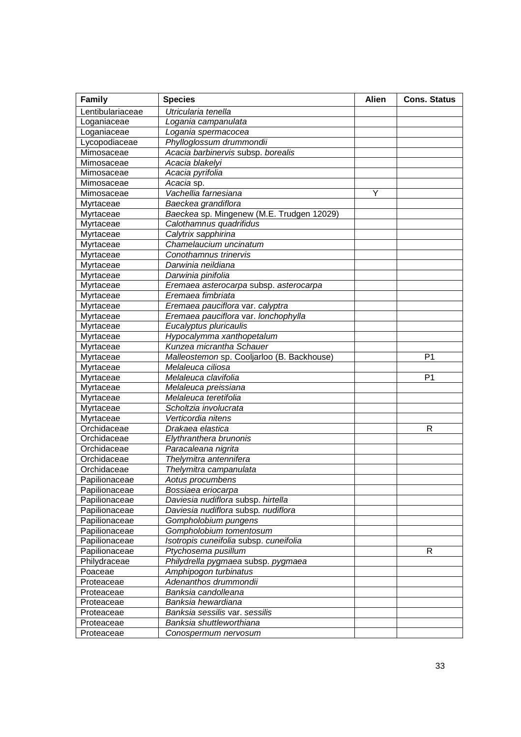| Family           | <b>Species</b>                             | <b>Alien</b> | <b>Cons. Status</b> |
|------------------|--------------------------------------------|--------------|---------------------|
| Lentibulariaceae | Utricularia tenella                        |              |                     |
| Loganiaceae      | Logania campanulata                        |              |                     |
| Loganiaceae      | Logania spermacocea                        |              |                     |
| Lycopodiaceae    | Phylloglossum drummondii                   |              |                     |
| Mimosaceae       | Acacia barbinervis subsp. borealis         |              |                     |
| Mimosaceae       | Acacia blakelyi                            |              |                     |
| Mimosaceae       | Acacia pyrifolia                           |              |                     |
| Mimosaceae       | Acacia sp.                                 |              |                     |
| Mimosaceae       | Vachellia farnesiana                       | Y            |                     |
| Myrtaceae        | Baeckea grandiflora                        |              |                     |
| Myrtaceae        | Baeckea sp. Mingenew (M.E. Trudgen 12029)  |              |                     |
| Myrtaceae        | Calothamnus quadrifidus                    |              |                     |
| Myrtaceae        | Calytrix sapphirina                        |              |                     |
| Myrtaceae        | Chamelaucium uncinatum                     |              |                     |
| Myrtaceae        | Conothamnus trinervis                      |              |                     |
| Myrtaceae        | Darwinia neildiana                         |              |                     |
| Myrtaceae        | Darwinia pinifolia                         |              |                     |
| Myrtaceae        | Eremaea asterocarpa subsp. asterocarpa     |              |                     |
| Myrtaceae        | Eremaea fimbriata                          |              |                     |
| Myrtaceae        | Eremaea pauciflora var. calyptra           |              |                     |
| Myrtaceae        | Eremaea pauciflora var. lonchophylla       |              |                     |
| Myrtaceae        | Eucalyptus pluricaulis                     |              |                     |
| Myrtaceae        | Hypocalymma xanthopetalum                  |              |                     |
| Myrtaceae        | Kunzea micrantha Schauer                   |              |                     |
| Myrtaceae        | Malleostemon sp. Cooljarloo (B. Backhouse) |              | P <sub>1</sub>      |
| Myrtaceae        | Melaleuca ciliosa                          |              |                     |
| Myrtaceae        | Melaleuca clavifolia                       |              | P <sub>1</sub>      |
| Myrtaceae        | Melaleuca preissiana                       |              |                     |
| Myrtaceae        | Melaleuca teretifolia                      |              |                     |
| Myrtaceae        | Scholtzia involucrata                      |              |                     |
| Myrtaceae        | Verticordia nitens                         |              |                     |
| Orchidaceae      | Drakaea elastica                           |              | R                   |
| Orchidaceae      | Elythranthera brunonis                     |              |                     |
| Orchidaceae      | Paracaleana nigrita                        |              |                     |
| Orchidaceae      | Thelymitra antennifera                     |              |                     |
| Orchidaceae      | Thelymitra campanulata                     |              |                     |
| Papilionaceae    | Aotus procumbens                           |              |                     |
| Papilionaceae    | Bossiaea eriocarpa                         |              |                     |
| Papilionaceae    | Daviesia nudiflora subsp. hirtella         |              |                     |
| Papilionaceae    | Daviesia nudiflora subsp. nudiflora        |              |                     |
| Papilionaceae    | Gompholobium pungens                       |              |                     |
| Papilionaceae    | Gompholobium tomentosum                    |              |                     |
| Papilionaceae    | Isotropis cuneifolia subsp. cuneifolia     |              |                     |
| Papilionaceae    | Ptychosema pusillum                        |              | R                   |
| Philydraceae     | Philydrella pygmaea subsp. pygmaea         |              |                     |
| Poaceae          | Amphipogon turbinatus                      |              |                     |
| Proteaceae       | Adenanthos drummondii                      |              |                     |
| Proteaceae       | Banksia candolleana                        |              |                     |
| Proteaceae       | Banksia hewardiana                         |              |                     |
| Proteaceae       | Banksia sessilis var. sessilis             |              |                     |
| Proteaceae       | Banksia shuttleworthiana                   |              |                     |
| Proteaceae       | Conospermum nervosum                       |              |                     |